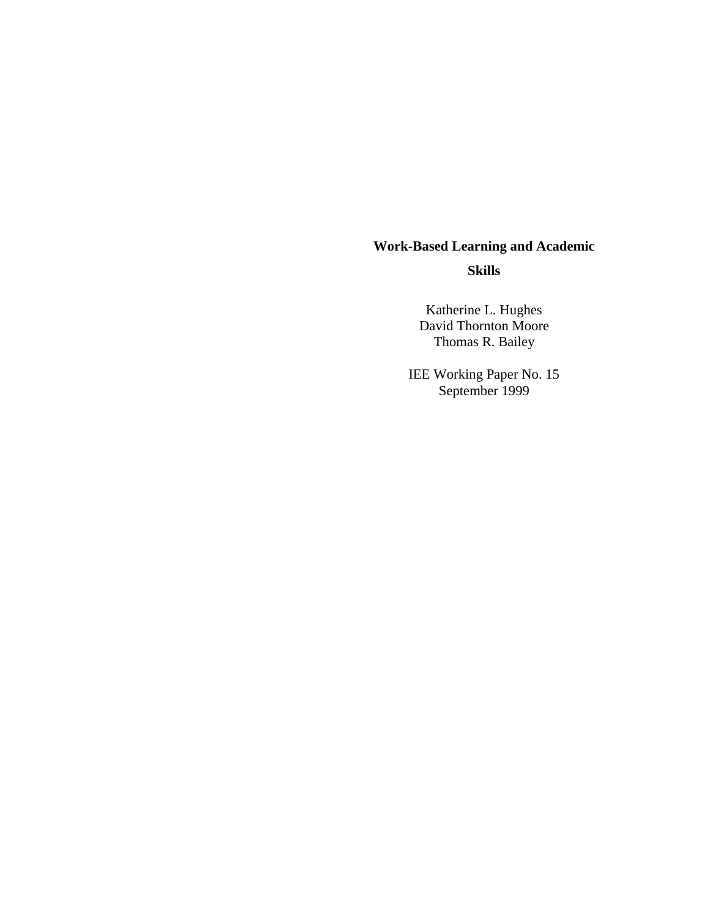**Work-Based Learning and Academic Skills**

> Katherine L. Hughes David Thornton Moore Thomas R. Bailey

IEE Working Paper No. 15 September 1999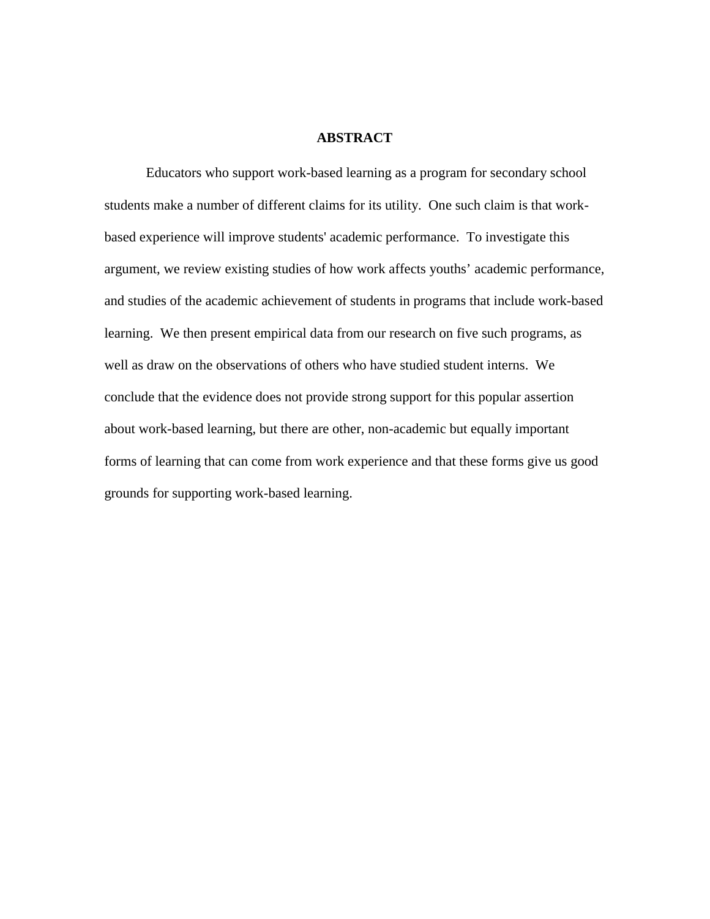# **ABSTRACT**

Educators who support work-based learning as a program for secondary school students make a number of different claims for its utility. One such claim is that workbased experience will improve students' academic performance. To investigate this argument, we review existing studies of how work affects youths' academic performance, and studies of the academic achievement of students in programs that include work-based learning. We then present empirical data from our research on five such programs, as well as draw on the observations of others who have studied student interns. We conclude that the evidence does not provide strong support for this popular assertion about work-based learning, but there are other, non-academic but equally important forms of learning that can come from work experience and that these forms give us good grounds for supporting work-based learning.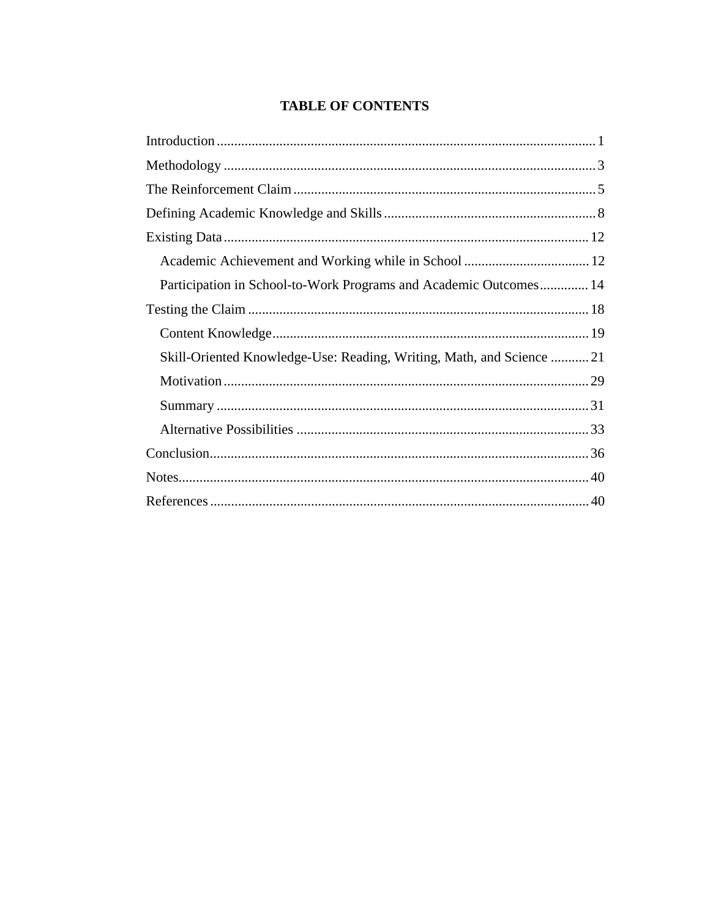# **TABLE OF CONTENTS**

| Participation in School-to-Work Programs and Academic Outcomes 14     |  |
|-----------------------------------------------------------------------|--|
|                                                                       |  |
|                                                                       |  |
| Skill-Oriented Knowledge-Use: Reading, Writing, Math, and Science  21 |  |
|                                                                       |  |
|                                                                       |  |
|                                                                       |  |
|                                                                       |  |
|                                                                       |  |
|                                                                       |  |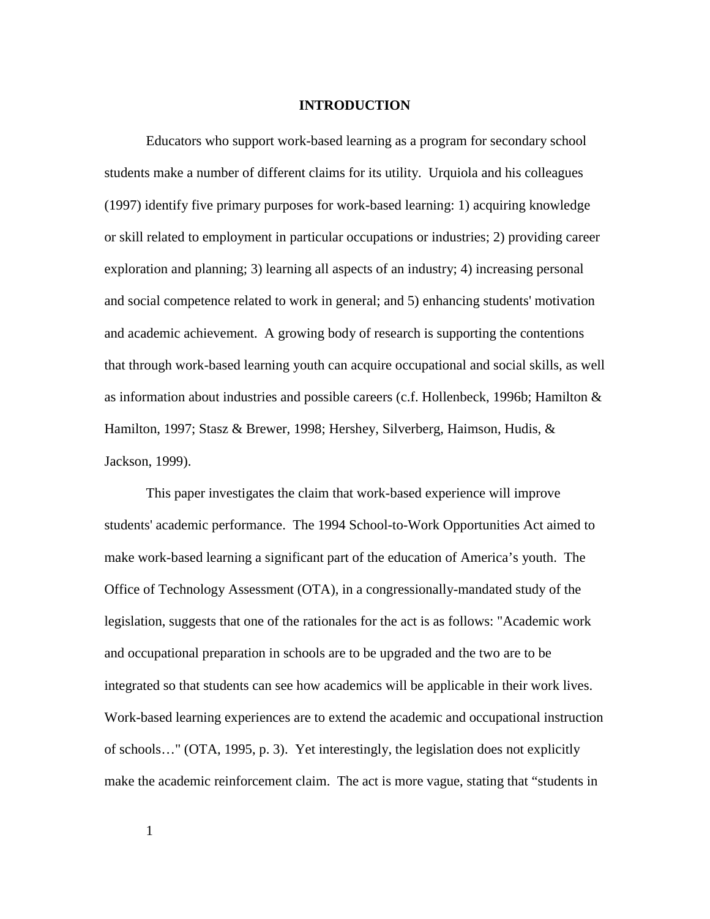# **INTRODUCTION**

Educators who support work-based learning as a program for secondary school students make a number of different claims for its utility. Urquiola and his colleagues (1997) identify five primary purposes for work-based learning: 1) acquiring knowledge or skill related to employment in particular occupations or industries; 2) providing career exploration and planning; 3) learning all aspects of an industry; 4) increasing personal and social competence related to work in general; and 5) enhancing students' motivation and academic achievement. A growing body of research is supporting the contentions that through work-based learning youth can acquire occupational and social skills, as well as information about industries and possible careers (c.f. Hollenbeck, 1996b; Hamilton & Hamilton, 1997; Stasz & Brewer, 1998; Hershey, Silverberg, Haimson, Hudis, & Jackson, 1999).

This paper investigates the claim that work-based experience will improve students' academic performance. The 1994 School-to-Work Opportunities Act aimed to make work-based learning a significant part of the education of America's youth. The Office of Technology Assessment (OTA), in a congressionally-mandated study of the legislation, suggests that one of the rationales for the act is as follows: "Academic work and occupational preparation in schools are to be upgraded and the two are to be integrated so that students can see how academics will be applicable in their work lives. Work-based learning experiences are to extend the academic and occupational instruction of schools…" (OTA, 1995, p. 3). Yet interestingly, the legislation does not explicitly make the academic reinforcement claim. The act is more vague, stating that "students in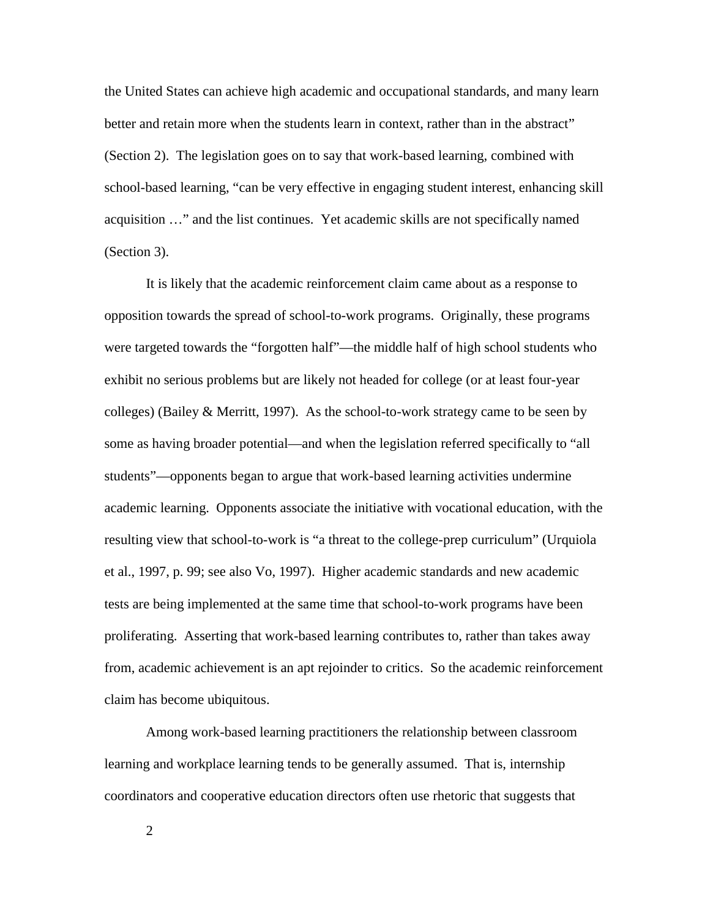the United States can achieve high academic and occupational standards, and many learn better and retain more when the students learn in context, rather than in the abstract" (Section 2). The legislation goes on to say that work-based learning, combined with school-based learning, "can be very effective in engaging student interest, enhancing skill acquisition …" and the list continues. Yet academic skills are not specifically named (Section 3).

It is likely that the academic reinforcement claim came about as a response to opposition towards the spread of school-to-work programs. Originally, these programs were targeted towards the "forgotten half"—the middle half of high school students who exhibit no serious problems but are likely not headed for college (or at least four-year colleges) (Bailey & Merritt, 1997). As the school-to-work strategy came to be seen by some as having broader potential—and when the legislation referred specifically to "all students"—opponents began to argue that work-based learning activities undermine academic learning. Opponents associate the initiative with vocational education, with the resulting view that school-to-work is "a threat to the college-prep curriculum" (Urquiola et al., 1997, p. 99; see also Vo, 1997). Higher academic standards and new academic tests are being implemented at the same time that school-to-work programs have been proliferating. Asserting that work-based learning contributes to, rather than takes away from, academic achievement is an apt rejoinder to critics. So the academic reinforcement claim has become ubiquitous.

Among work-based learning practitioners the relationship between classroom learning and workplace learning tends to be generally assumed. That is, internship coordinators and cooperative education directors often use rhetoric that suggests that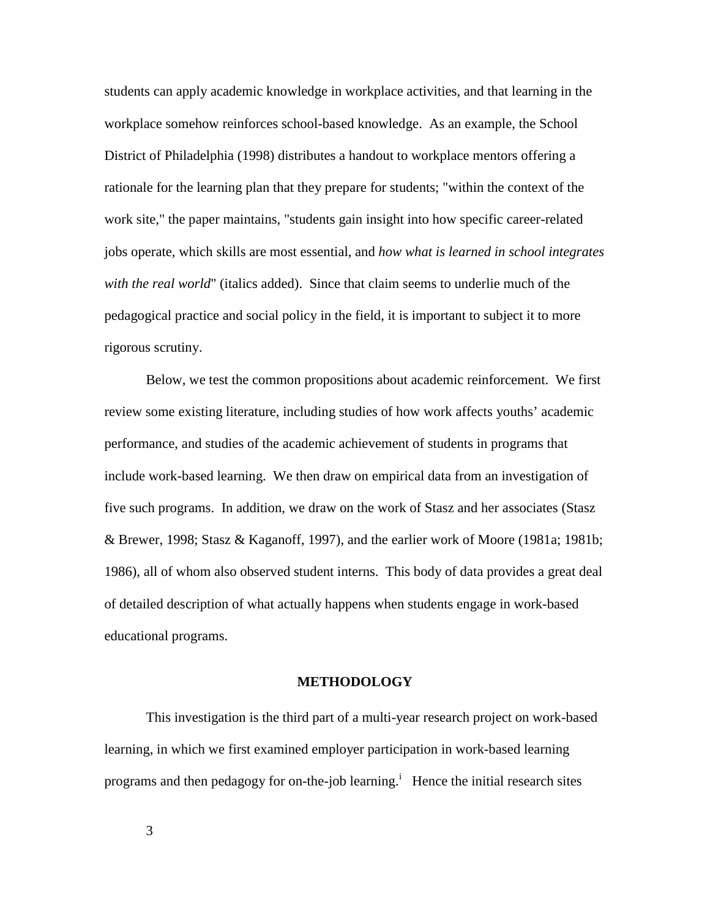students can apply academic knowledge in workplace activities, and that learning in the workplace somehow reinforces school-based knowledge. As an example, the School District of Philadelphia (1998) distributes a handout to workplace mentors offering a rationale for the learning plan that they prepare for students; "within the context of the work site," the paper maintains, "students gain insight into how specific career-related jobs operate, which skills are most essential, and *how what is learned in school integrates with the real world*" (italics added). Since that claim seems to underlie much of the pedagogical practice and social policy in the field, it is important to subject it to more rigorous scrutiny.

Below, we test the common propositions about academic reinforcement. We first review some existing literature, including studies of how work affects youths' academic performance, and studies of the academic achievement of students in programs that include work-based learning. We then draw on empirical data from an investigation of five such programs. In addition, we draw on the work of Stasz and her associates (Stasz & Brewer, 1998; Stasz & Kaganoff, 1997), and the earlier work of Moore (1981a; 1981b; 1986), all of whom also observed student interns. This body of data provides a great deal of detailed description of what actually happens when students engage in work-based educational programs.

## **METHODOLOGY**

This investigation is the third part of a multi-year research project on work-based learning, in which we first examined employer participation in work-based learning programs and then pedagogy for on-the-job learning.<sup>i</sup> Hence the initial research sites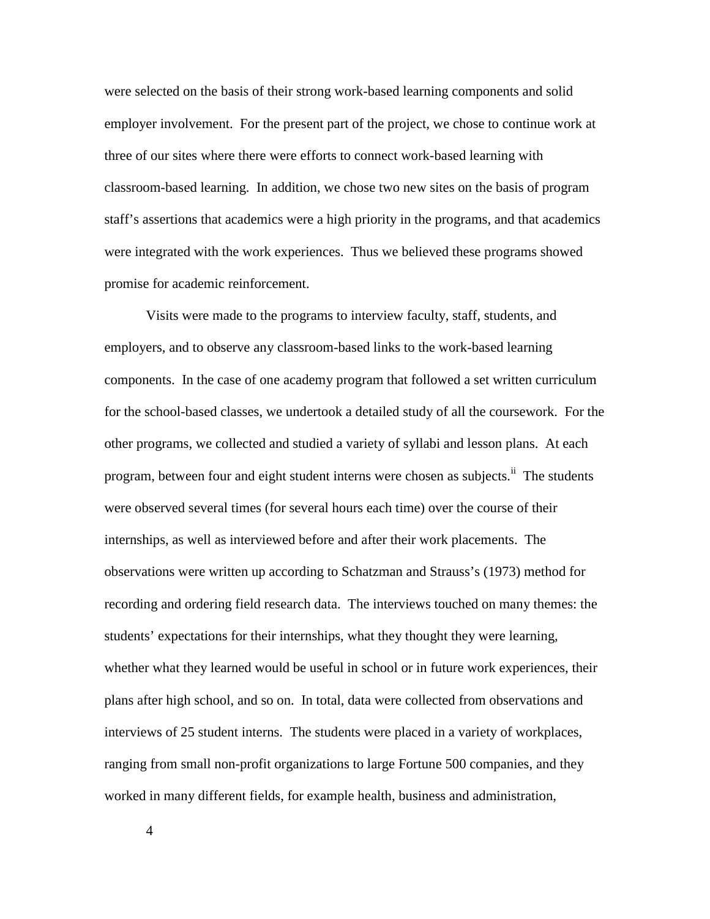were selected on the basis of their strong work-based learning components and solid employer involvement. For the present part of the project, we chose to continue work at three of our sites where there were efforts to connect work-based learning with classroom-based learning. In addition, we chose two new sites on the basis of program staff's assertions that academics were a high priority in the programs, and that academics were integrated with the work experiences. Thus we believed these programs showed promise for academic reinforcement.

Visits were made to the programs to interview faculty, staff, students, and employers, and to observe any classroom-based links to the work-based learning components. In the case of one academy program that followed a set written curriculum for the school-based classes, we undertook a detailed study of all the coursework. For the other programs, we collected and studied a variety of syllabi and lesson plans. At each program, between four and eight student interns were chosen as subjects.<sup>ii</sup> The students were observed several times (for several hours each time) over the course of their internships, as well as interviewed before and after their work placements. The observations were written up according to Schatzman and Strauss's (1973) method for recording and ordering field research data. The interviews touched on many themes: the students' expectations for their internships, what they thought they were learning, whether what they learned would be useful in school or in future work experiences, their plans after high school, and so on. In total, data were collected from observations and interviews of 25 student interns. The students were placed in a variety of workplaces, ranging from small non-profit organizations to large Fortune 500 companies, and they worked in many different fields, for example health, business and administration,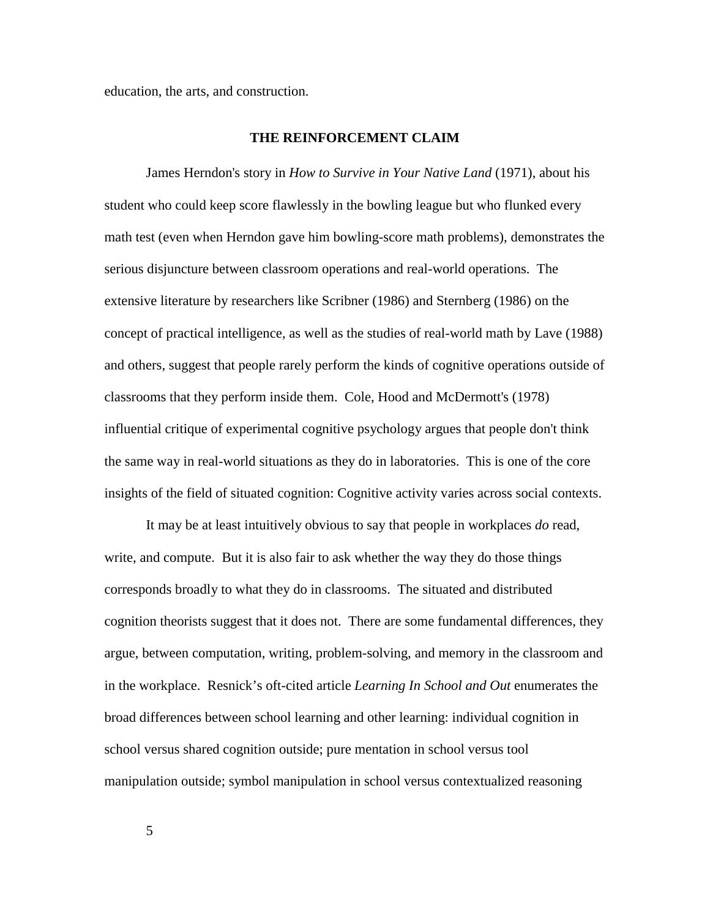education, the arts, and construction.

#### **THE REINFORCEMENT CLAIM**

James Herndon's story in *How to Survive in Your Native Land* (1971), about his student who could keep score flawlessly in the bowling league but who flunked every math test (even when Herndon gave him bowling-score math problems), demonstrates the serious disjuncture between classroom operations and real-world operations. The extensive literature by researchers like Scribner (1986) and Sternberg (1986) on the concept of practical intelligence, as well as the studies of real-world math by Lave (1988) and others, suggest that people rarely perform the kinds of cognitive operations outside of classrooms that they perform inside them. Cole, Hood and McDermott's (1978) influential critique of experimental cognitive psychology argues that people don't think the same way in real-world situations as they do in laboratories. This is one of the core insights of the field of situated cognition: Cognitive activity varies across social contexts.

It may be at least intuitively obvious to say that people in workplaces *do* read, write, and compute. But it is also fair to ask whether the way they do those things corresponds broadly to what they do in classrooms. The situated and distributed cognition theorists suggest that it does not. There are some fundamental differences, they argue, between computation, writing, problem-solving, and memory in the classroom and in the workplace. Resnick's oft-cited article *Learning In School and Out* enumerates the broad differences between school learning and other learning: individual cognition in school versus shared cognition outside; pure mentation in school versus tool manipulation outside; symbol manipulation in school versus contextualized reasoning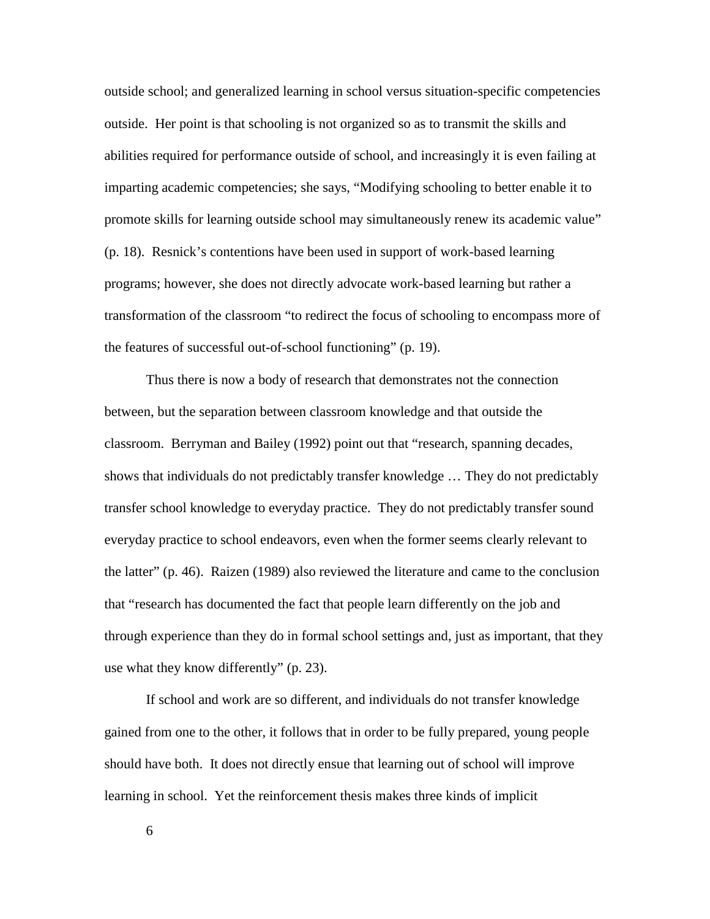outside school; and generalized learning in school versus situation-specific competencies outside. Her point is that schooling is not organized so as to transmit the skills and abilities required for performance outside of school, and increasingly it is even failing at imparting academic competencies; she says, "Modifying schooling to better enable it to promote skills for learning outside school may simultaneously renew its academic value" (p. 18). Resnick's contentions have been used in support of work-based learning programs; however, she does not directly advocate work-based learning but rather a transformation of the classroom "to redirect the focus of schooling to encompass more of the features of successful out-of-school functioning" (p. 19).

Thus there is now a body of research that demonstrates not the connection between, but the separation between classroom knowledge and that outside the classroom. Berryman and Bailey (1992) point out that "research, spanning decades, shows that individuals do not predictably transfer knowledge … They do not predictably transfer school knowledge to everyday practice. They do not predictably transfer sound everyday practice to school endeavors, even when the former seems clearly relevant to the latter" (p. 46). Raizen (1989) also reviewed the literature and came to the conclusion that "research has documented the fact that people learn differently on the job and through experience than they do in formal school settings and, just as important, that they use what they know differently" (p. 23).

If school and work are so different, and individuals do not transfer knowledge gained from one to the other, it follows that in order to be fully prepared, young people should have both. It does not directly ensue that learning out of school will improve learning in school. Yet the reinforcement thesis makes three kinds of implicit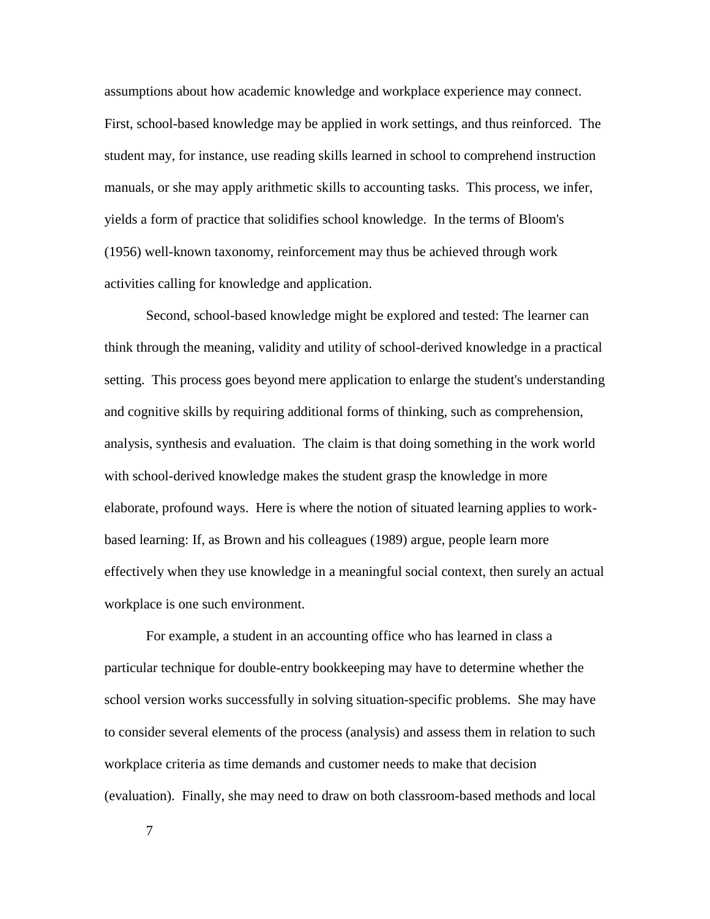assumptions about how academic knowledge and workplace experience may connect. First, school-based knowledge may be applied in work settings, and thus reinforced. The student may, for instance, use reading skills learned in school to comprehend instruction manuals, or she may apply arithmetic skills to accounting tasks. This process, we infer, yields a form of practice that solidifies school knowledge. In the terms of Bloom's (1956) well-known taxonomy, reinforcement may thus be achieved through work activities calling for knowledge and application.

Second, school-based knowledge might be explored and tested: The learner can think through the meaning, validity and utility of school-derived knowledge in a practical setting. This process goes beyond mere application to enlarge the student's understanding and cognitive skills by requiring additional forms of thinking, such as comprehension, analysis, synthesis and evaluation. The claim is that doing something in the work world with school-derived knowledge makes the student grasp the knowledge in more elaborate, profound ways. Here is where the notion of situated learning applies to workbased learning: If, as Brown and his colleagues (1989) argue, people learn more effectively when they use knowledge in a meaningful social context, then surely an actual workplace is one such environment.

For example, a student in an accounting office who has learned in class a particular technique for double-entry bookkeeping may have to determine whether the school version works successfully in solving situation-specific problems. She may have to consider several elements of the process (analysis) and assess them in relation to such workplace criteria as time demands and customer needs to make that decision (evaluation). Finally, she may need to draw on both classroom-based methods and local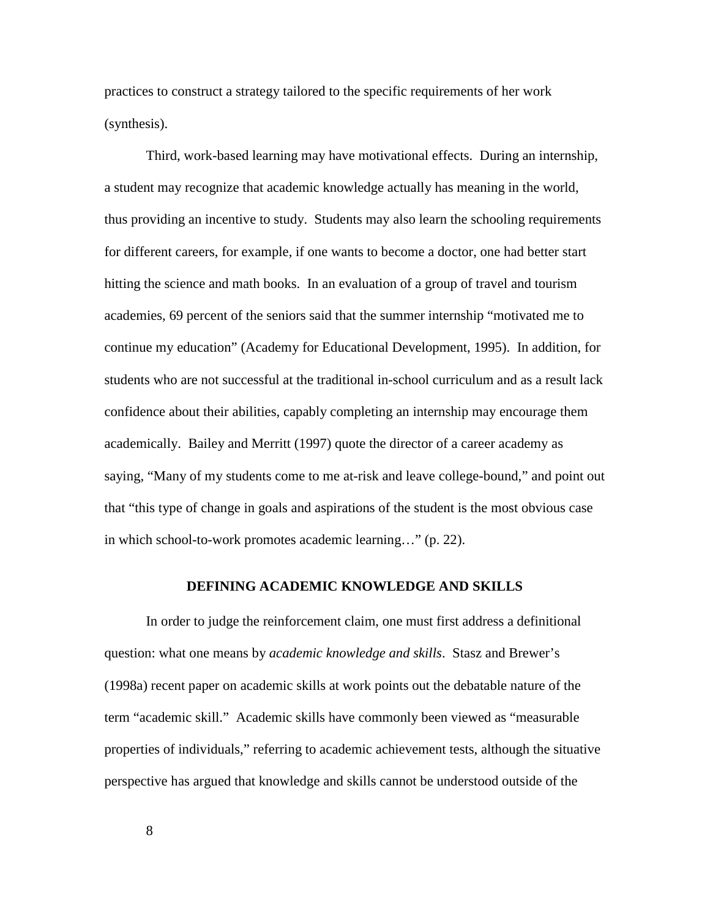practices to construct a strategy tailored to the specific requirements of her work (synthesis).

Third, work-based learning may have motivational effects. During an internship, a student may recognize that academic knowledge actually has meaning in the world, thus providing an incentive to study. Students may also learn the schooling requirements for different careers, for example, if one wants to become a doctor, one had better start hitting the science and math books. In an evaluation of a group of travel and tourism academies, 69 percent of the seniors said that the summer internship "motivated me to continue my education" (Academy for Educational Development, 1995). In addition, for students who are not successful at the traditional in-school curriculum and as a result lack confidence about their abilities, capably completing an internship may encourage them academically. Bailey and Merritt (1997) quote the director of a career academy as saying, "Many of my students come to me at-risk and leave college-bound," and point out that "this type of change in goals and aspirations of the student is the most obvious case in which school-to-work promotes academic learning…" (p. 22).

# **DEFINING ACADEMIC KNOWLEDGE AND SKILLS**

In order to judge the reinforcement claim, one must first address a definitional question: what one means by *academic knowledge and skills*. Stasz and Brewer's (1998a) recent paper on academic skills at work points out the debatable nature of the term "academic skill." Academic skills have commonly been viewed as "measurable properties of individuals," referring to academic achievement tests, although the situative perspective has argued that knowledge and skills cannot be understood outside of the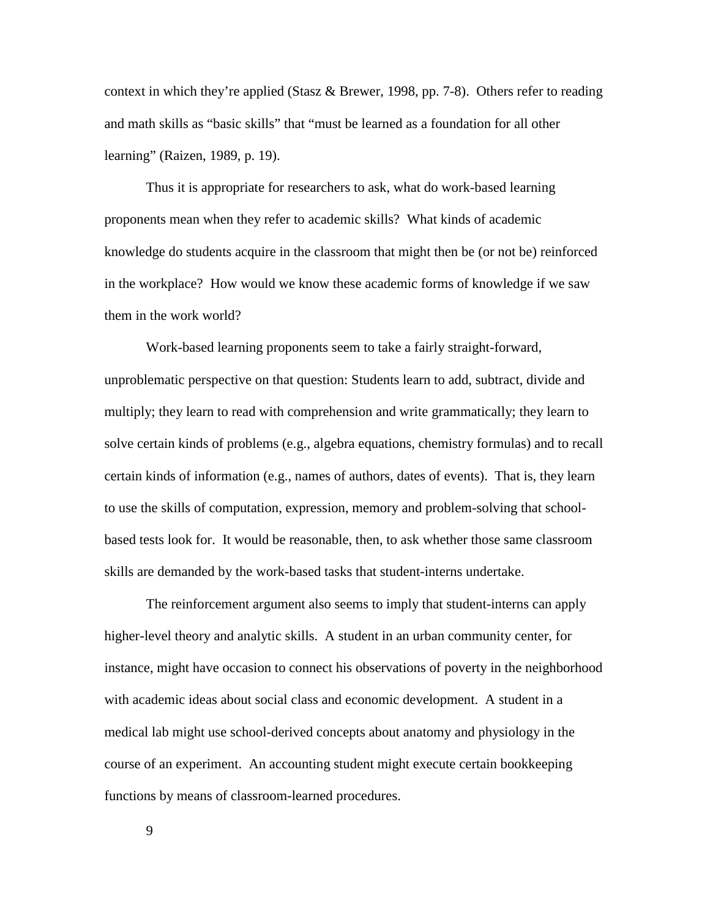context in which they're applied (Stasz & Brewer, 1998, pp. 7-8). Others refer to reading and math skills as "basic skills" that "must be learned as a foundation for all other learning" (Raizen, 1989, p. 19).

Thus it is appropriate for researchers to ask, what do work-based learning proponents mean when they refer to academic skills? What kinds of academic knowledge do students acquire in the classroom that might then be (or not be) reinforced in the workplace? How would we know these academic forms of knowledge if we saw them in the work world?

Work-based learning proponents seem to take a fairly straight-forward, unproblematic perspective on that question: Students learn to add, subtract, divide and multiply; they learn to read with comprehension and write grammatically; they learn to solve certain kinds of problems (e.g., algebra equations, chemistry formulas) and to recall certain kinds of information (e.g., names of authors, dates of events). That is, they learn to use the skills of computation, expression, memory and problem-solving that schoolbased tests look for. It would be reasonable, then, to ask whether those same classroom skills are demanded by the work-based tasks that student-interns undertake.

The reinforcement argument also seems to imply that student-interns can apply higher-level theory and analytic skills. A student in an urban community center, for instance, might have occasion to connect his observations of poverty in the neighborhood with academic ideas about social class and economic development. A student in a medical lab might use school-derived concepts about anatomy and physiology in the course of an experiment. An accounting student might execute certain bookkeeping functions by means of classroom-learned procedures.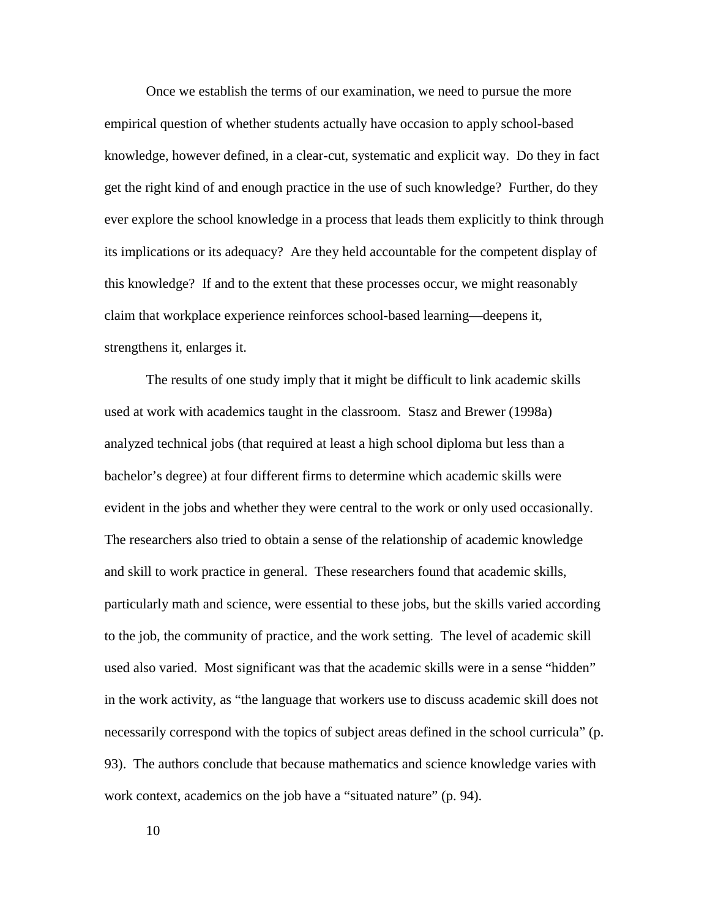Once we establish the terms of our examination, we need to pursue the more empirical question of whether students actually have occasion to apply school-based knowledge, however defined, in a clear-cut, systematic and explicit way. Do they in fact get the right kind of and enough practice in the use of such knowledge? Further, do they ever explore the school knowledge in a process that leads them explicitly to think through its implications or its adequacy? Are they held accountable for the competent display of this knowledge? If and to the extent that these processes occur, we might reasonably claim that workplace experience reinforces school-based learning—deepens it, strengthens it, enlarges it.

The results of one study imply that it might be difficult to link academic skills used at work with academics taught in the classroom. Stasz and Brewer (1998a) analyzed technical jobs (that required at least a high school diploma but less than a bachelor's degree) at four different firms to determine which academic skills were evident in the jobs and whether they were central to the work or only used occasionally. The researchers also tried to obtain a sense of the relationship of academic knowledge and skill to work practice in general. These researchers found that academic skills, particularly math and science, were essential to these jobs, but the skills varied according to the job, the community of practice, and the work setting. The level of academic skill used also varied. Most significant was that the academic skills were in a sense "hidden" in the work activity, as "the language that workers use to discuss academic skill does not necessarily correspond with the topics of subject areas defined in the school curricula" (p. 93). The authors conclude that because mathematics and science knowledge varies with work context, academics on the job have a "situated nature" (p. 94).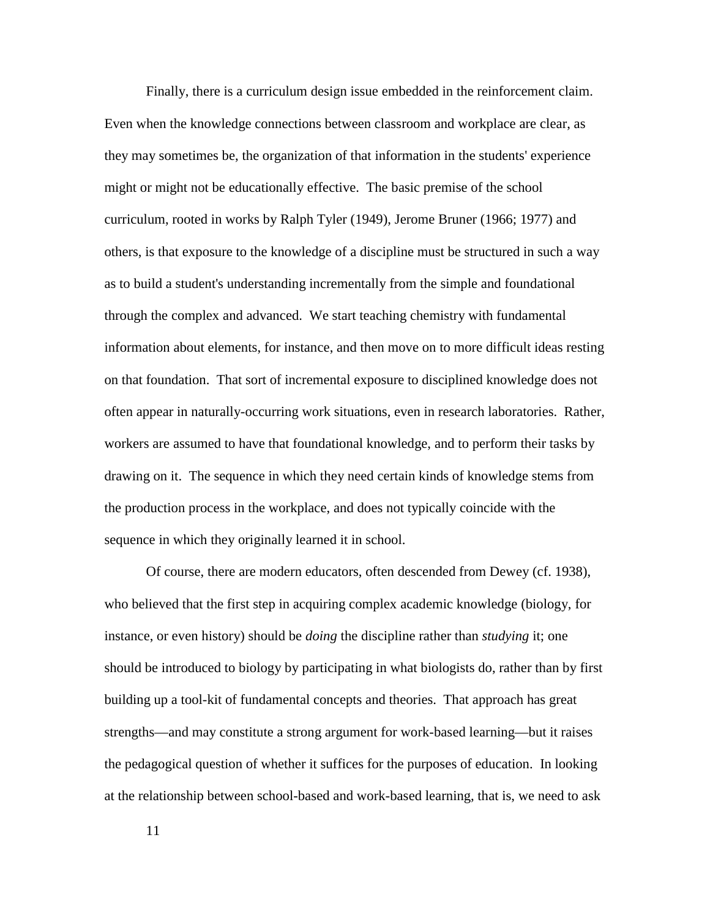Finally, there is a curriculum design issue embedded in the reinforcement claim. Even when the knowledge connections between classroom and workplace are clear, as they may sometimes be, the organization of that information in the students' experience might or might not be educationally effective. The basic premise of the school curriculum, rooted in works by Ralph Tyler (1949), Jerome Bruner (1966; 1977) and others, is that exposure to the knowledge of a discipline must be structured in such a way as to build a student's understanding incrementally from the simple and foundational through the complex and advanced. We start teaching chemistry with fundamental information about elements, for instance, and then move on to more difficult ideas resting on that foundation. That sort of incremental exposure to disciplined knowledge does not often appear in naturally-occurring work situations, even in research laboratories. Rather, workers are assumed to have that foundational knowledge, and to perform their tasks by drawing on it. The sequence in which they need certain kinds of knowledge stems from the production process in the workplace, and does not typically coincide with the sequence in which they originally learned it in school.

Of course, there are modern educators, often descended from Dewey (cf. 1938), who believed that the first step in acquiring complex academic knowledge (biology, for instance, or even history) should be *doing* the discipline rather than *studying* it; one should be introduced to biology by participating in what biologists do, rather than by first building up a tool-kit of fundamental concepts and theories. That approach has great strengths—and may constitute a strong argument for work-based learning—but it raises the pedagogical question of whether it suffices for the purposes of education. In looking at the relationship between school-based and work-based learning, that is, we need to ask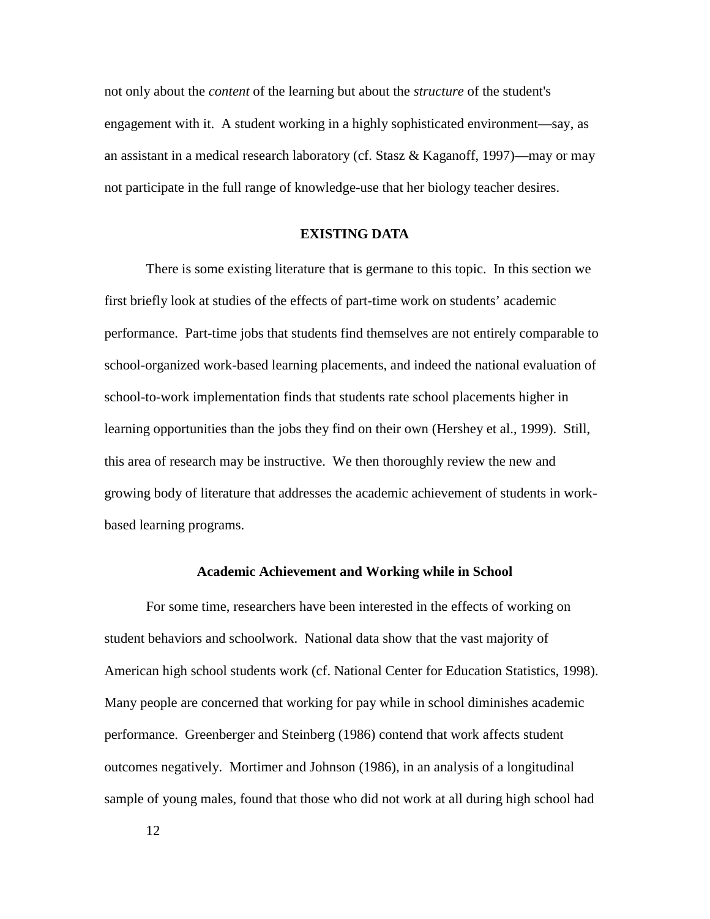not only about the *content* of the learning but about the *structure* of the student's engagement with it. A student working in a highly sophisticated environment—say, as an assistant in a medical research laboratory (cf. Stasz  $& Kaganoff, 1997$ )—may or may not participate in the full range of knowledge-use that her biology teacher desires.

# **EXISTING DATA**

There is some existing literature that is germane to this topic. In this section we first briefly look at studies of the effects of part-time work on students' academic performance. Part-time jobs that students find themselves are not entirely comparable to school-organized work-based learning placements, and indeed the national evaluation of school-to-work implementation finds that students rate school placements higher in learning opportunities than the jobs they find on their own (Hershey et al., 1999). Still, this area of research may be instructive. We then thoroughly review the new and growing body of literature that addresses the academic achievement of students in workbased learning programs.

# **Academic Achievement and Working while in School**

For some time, researchers have been interested in the effects of working on student behaviors and schoolwork. National data show that the vast majority of American high school students work (cf. National Center for Education Statistics, 1998). Many people are concerned that working for pay while in school diminishes academic performance. Greenberger and Steinberg (1986) contend that work affects student outcomes negatively. Mortimer and Johnson (1986), in an analysis of a longitudinal sample of young males, found that those who did not work at all during high school had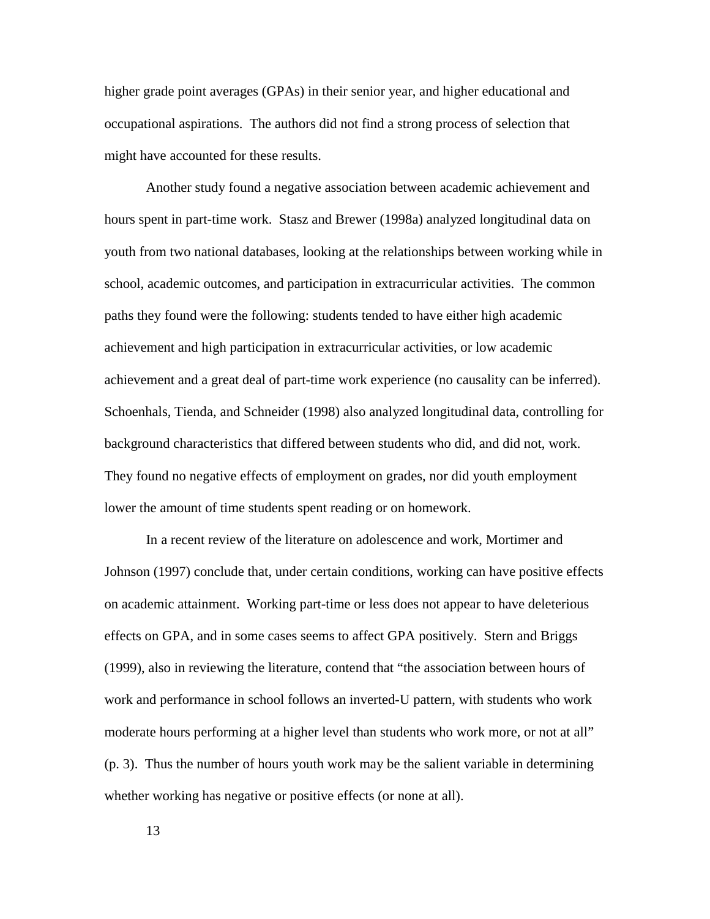higher grade point averages (GPAs) in their senior year, and higher educational and occupational aspirations. The authors did not find a strong process of selection that might have accounted for these results.

Another study found a negative association between academic achievement and hours spent in part-time work. Stasz and Brewer (1998a) analyzed longitudinal data on youth from two national databases, looking at the relationships between working while in school, academic outcomes, and participation in extracurricular activities. The common paths they found were the following: students tended to have either high academic achievement and high participation in extracurricular activities, or low academic achievement and a great deal of part-time work experience (no causality can be inferred). Schoenhals, Tienda, and Schneider (1998) also analyzed longitudinal data, controlling for background characteristics that differed between students who did, and did not, work. They found no negative effects of employment on grades, nor did youth employment lower the amount of time students spent reading or on homework.

In a recent review of the literature on adolescence and work, Mortimer and Johnson (1997) conclude that, under certain conditions, working can have positive effects on academic attainment. Working part-time or less does not appear to have deleterious effects on GPA, and in some cases seems to affect GPA positively. Stern and Briggs (1999), also in reviewing the literature, contend that "the association between hours of work and performance in school follows an inverted-U pattern, with students who work moderate hours performing at a higher level than students who work more, or not at all" (p. 3). Thus the number of hours youth work may be the salient variable in determining whether working has negative or positive effects (or none at all).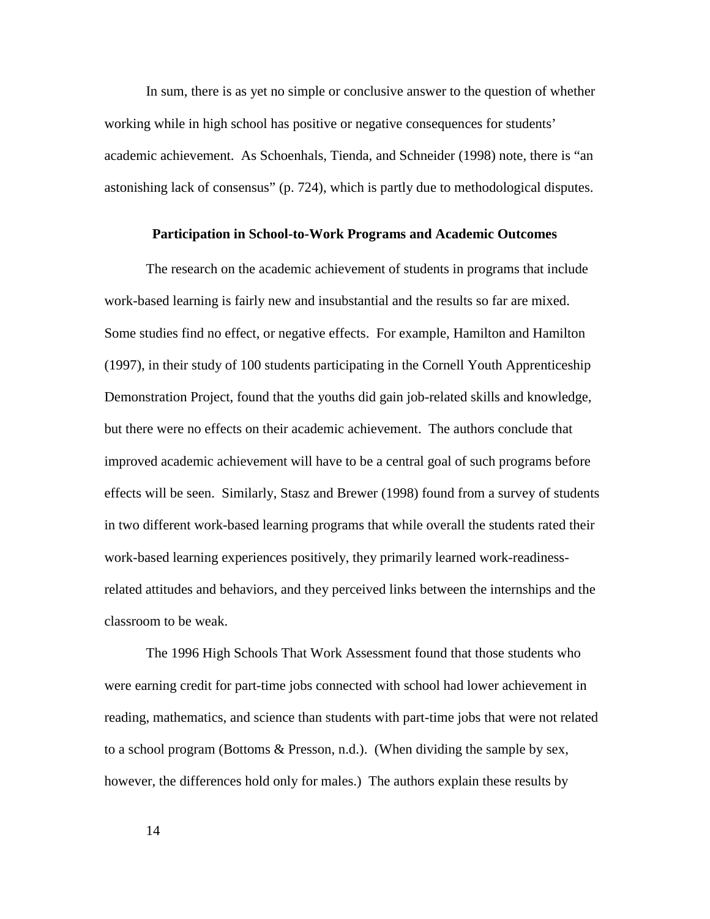In sum, there is as yet no simple or conclusive answer to the question of whether working while in high school has positive or negative consequences for students' academic achievement. As Schoenhals, Tienda, and Schneider (1998) note, there is "an astonishing lack of consensus" (p. 724), which is partly due to methodological disputes.

# **Participation in School-to-Work Programs and Academic Outcomes**

The research on the academic achievement of students in programs that include work-based learning is fairly new and insubstantial and the results so far are mixed. Some studies find no effect, or negative effects. For example, Hamilton and Hamilton (1997), in their study of 100 students participating in the Cornell Youth Apprenticeship Demonstration Project, found that the youths did gain job-related skills and knowledge, but there were no effects on their academic achievement. The authors conclude that improved academic achievement will have to be a central goal of such programs before effects will be seen. Similarly, Stasz and Brewer (1998) found from a survey of students in two different work-based learning programs that while overall the students rated their work-based learning experiences positively, they primarily learned work-readinessrelated attitudes and behaviors, and they perceived links between the internships and the classroom to be weak.

The 1996 High Schools That Work Assessment found that those students who were earning credit for part-time jobs connected with school had lower achievement in reading, mathematics, and science than students with part-time jobs that were not related to a school program (Bottoms & Presson, n.d.). (When dividing the sample by sex, however, the differences hold only for males.) The authors explain these results by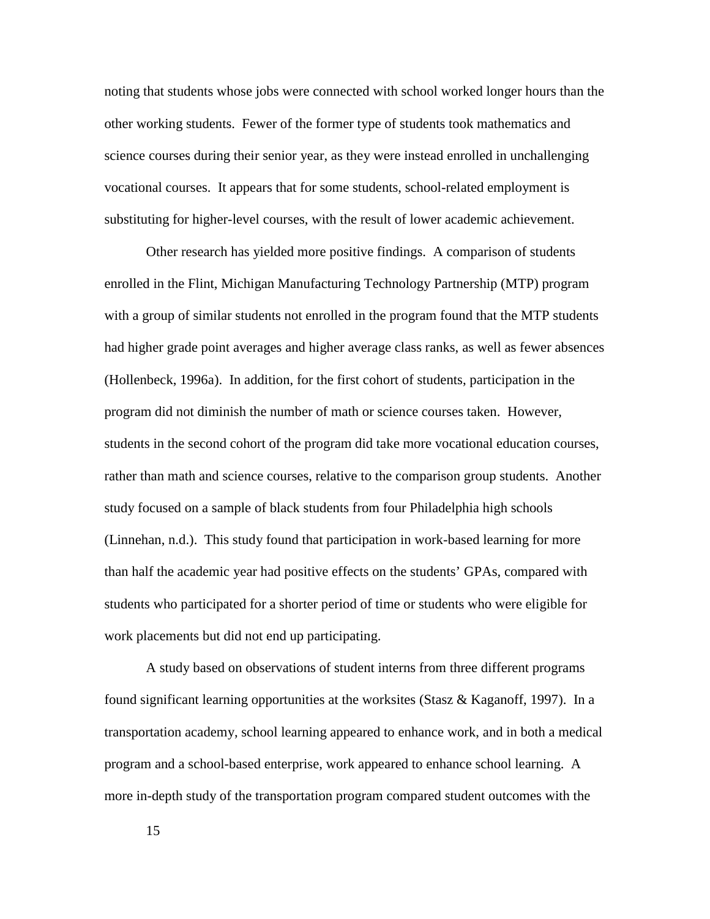noting that students whose jobs were connected with school worked longer hours than the other working students. Fewer of the former type of students took mathematics and science courses during their senior year, as they were instead enrolled in unchallenging vocational courses. It appears that for some students, school-related employment is substituting for higher-level courses, with the result of lower academic achievement.

Other research has yielded more positive findings. A comparison of students enrolled in the Flint, Michigan Manufacturing Technology Partnership (MTP) program with a group of similar students not enrolled in the program found that the MTP students had higher grade point averages and higher average class ranks, as well as fewer absences (Hollenbeck, 1996a). In addition, for the first cohort of students, participation in the program did not diminish the number of math or science courses taken. However, students in the second cohort of the program did take more vocational education courses, rather than math and science courses, relative to the comparison group students. Another study focused on a sample of black students from four Philadelphia high schools (Linnehan, n.d.). This study found that participation in work-based learning for more than half the academic year had positive effects on the students' GPAs, compared with students who participated for a shorter period of time or students who were eligible for work placements but did not end up participating.

A study based on observations of student interns from three different programs found significant learning opportunities at the worksites (Stasz  $\&$  Kaganoff, 1997). In a transportation academy, school learning appeared to enhance work, and in both a medical program and a school-based enterprise, work appeared to enhance school learning. A more in-depth study of the transportation program compared student outcomes with the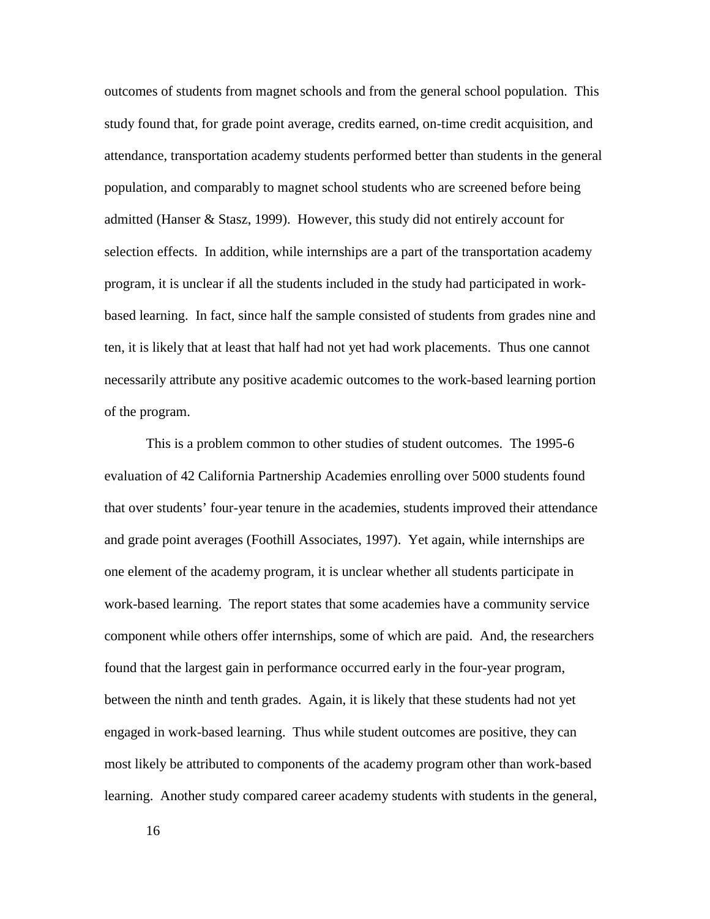outcomes of students from magnet schools and from the general school population. This study found that, for grade point average, credits earned, on-time credit acquisition, and attendance, transportation academy students performed better than students in the general population, and comparably to magnet school students who are screened before being admitted (Hanser & Stasz, 1999). However, this study did not entirely account for selection effects. In addition, while internships are a part of the transportation academy program, it is unclear if all the students included in the study had participated in workbased learning. In fact, since half the sample consisted of students from grades nine and ten, it is likely that at least that half had not yet had work placements. Thus one cannot necessarily attribute any positive academic outcomes to the work-based learning portion of the program.

This is a problem common to other studies of student outcomes. The 1995-6 evaluation of 42 California Partnership Academies enrolling over 5000 students found that over students' four-year tenure in the academies, students improved their attendance and grade point averages (Foothill Associates, 1997). Yet again, while internships are one element of the academy program, it is unclear whether all students participate in work-based learning. The report states that some academies have a community service component while others offer internships, some of which are paid. And, the researchers found that the largest gain in performance occurred early in the four-year program, between the ninth and tenth grades. Again, it is likely that these students had not yet engaged in work-based learning. Thus while student outcomes are positive, they can most likely be attributed to components of the academy program other than work-based learning. Another study compared career academy students with students in the general,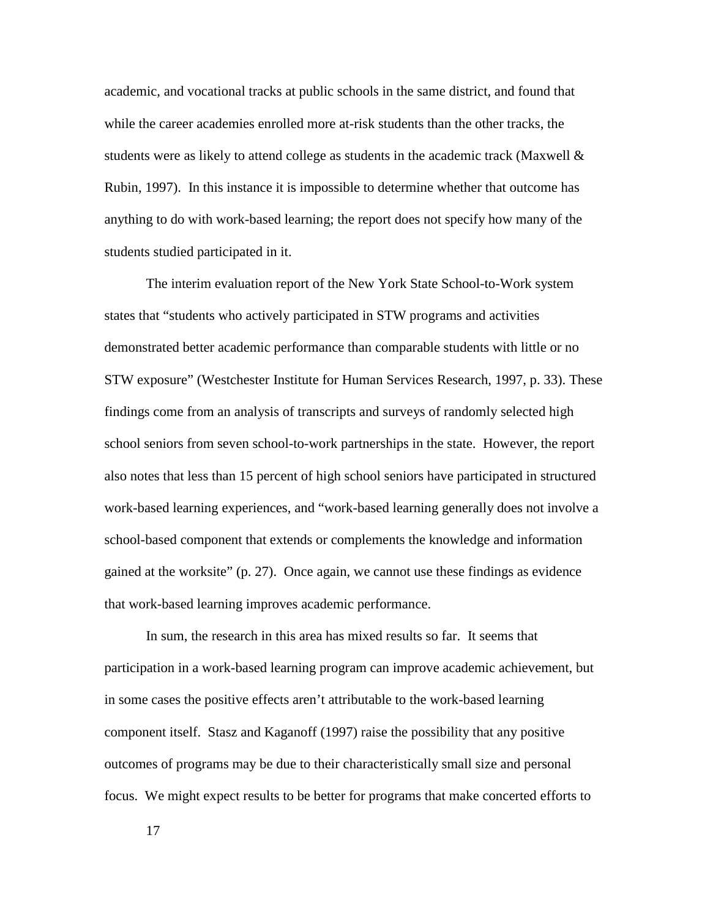academic, and vocational tracks at public schools in the same district, and found that while the career academies enrolled more at-risk students than the other tracks, the students were as likely to attend college as students in the academic track (Maxwell  $\&$ Rubin, 1997). In this instance it is impossible to determine whether that outcome has anything to do with work-based learning; the report does not specify how many of the students studied participated in it.

The interim evaluation report of the New York State School-to-Work system states that "students who actively participated in STW programs and activities demonstrated better academic performance than comparable students with little or no STW exposure" (Westchester Institute for Human Services Research, 1997, p. 33). These findings come from an analysis of transcripts and surveys of randomly selected high school seniors from seven school-to-work partnerships in the state. However, the report also notes that less than 15 percent of high school seniors have participated in structured work-based learning experiences, and "work-based learning generally does not involve a school-based component that extends or complements the knowledge and information gained at the worksite" (p. 27). Once again, we cannot use these findings as evidence that work-based learning improves academic performance.

In sum, the research in this area has mixed results so far. It seems that participation in a work-based learning program can improve academic achievement, but in some cases the positive effects aren't attributable to the work-based learning component itself. Stasz and Kaganoff (1997) raise the possibility that any positive outcomes of programs may be due to their characteristically small size and personal focus. We might expect results to be better for programs that make concerted efforts to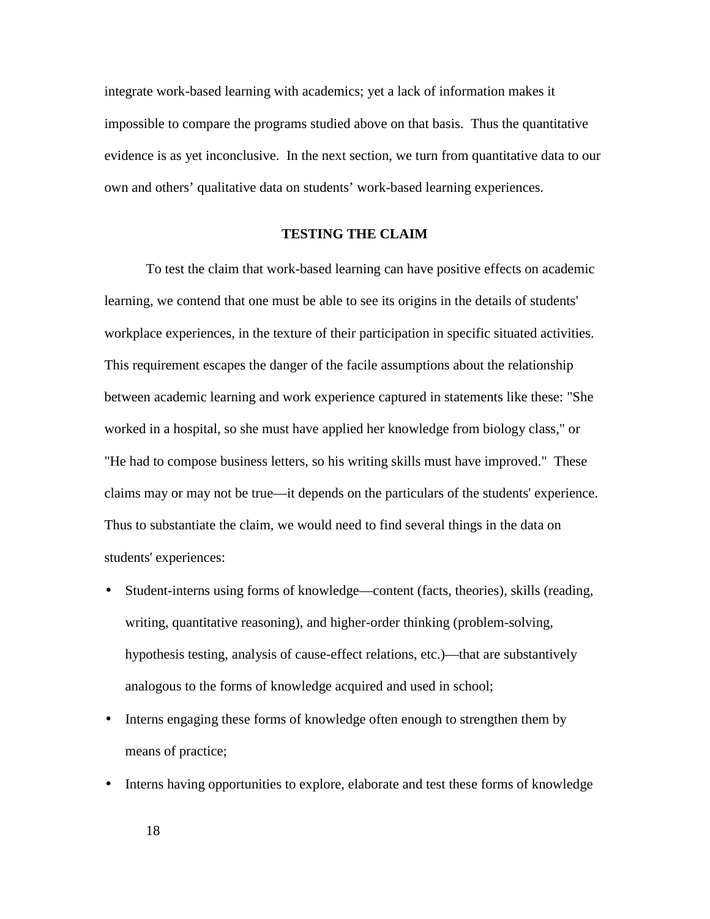integrate work-based learning with academics; yet a lack of information makes it impossible to compare the programs studied above on that basis. Thus the quantitative evidence is as yet inconclusive. In the next section, we turn from quantitative data to our own and others' qualitative data on students' work-based learning experiences.

# **TESTING THE CLAIM**

To test the claim that work-based learning can have positive effects on academic learning, we contend that one must be able to see its origins in the details of students' workplace experiences, in the texture of their participation in specific situated activities. This requirement escapes the danger of the facile assumptions about the relationship between academic learning and work experience captured in statements like these: "She worked in a hospital, so she must have applied her knowledge from biology class," or "He had to compose business letters, so his writing skills must have improved." These claims may or may not be true—it depends on the particulars of the students' experience. Thus to substantiate the claim, we would need to find several things in the data on students' experiences:

- Student-interns using forms of knowledge—content (facts, theories), skills (reading, writing, quantitative reasoning), and higher-order thinking (problem-solving, hypothesis testing, analysis of cause-effect relations, etc.)—that are substantively analogous to the forms of knowledge acquired and used in school;
- Interns engaging these forms of knowledge often enough to strengthen them by means of practice;
- Interns having opportunities to explore, elaborate and test these forms of knowledge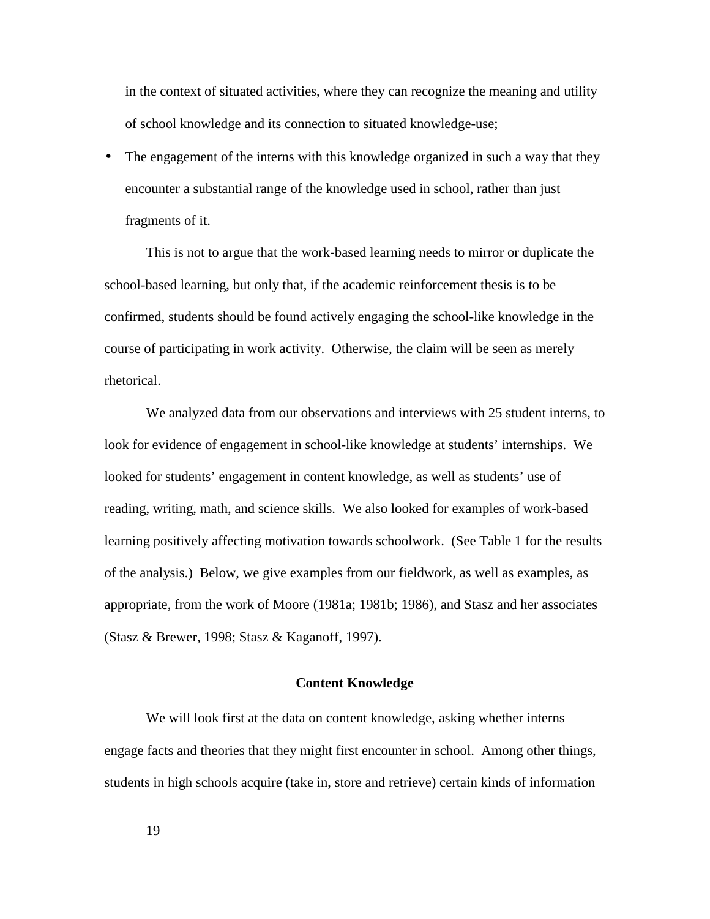in the context of situated activities, where they can recognize the meaning and utility of school knowledge and its connection to situated knowledge-use;

• The engagement of the interns with this knowledge organized in such a way that they encounter a substantial range of the knowledge used in school, rather than just fragments of it.

This is not to argue that the work-based learning needs to mirror or duplicate the school-based learning, but only that, if the academic reinforcement thesis is to be confirmed, students should be found actively engaging the school-like knowledge in the course of participating in work activity. Otherwise, the claim will be seen as merely rhetorical.

We analyzed data from our observations and interviews with 25 student interns, to look for evidence of engagement in school-like knowledge at students' internships. We looked for students' engagement in content knowledge, as well as students' use of reading, writing, math, and science skills. We also looked for examples of work-based learning positively affecting motivation towards schoolwork. (See Table 1 for the results of the analysis.) Below, we give examples from our fieldwork, as well as examples, as appropriate, from the work of Moore (1981a; 1981b; 1986), and Stasz and her associates (Stasz & Brewer, 1998; Stasz & Kaganoff, 1997).

# **Content Knowledge**

We will look first at the data on content knowledge, asking whether interns engage facts and theories that they might first encounter in school. Among other things, students in high schools acquire (take in, store and retrieve) certain kinds of information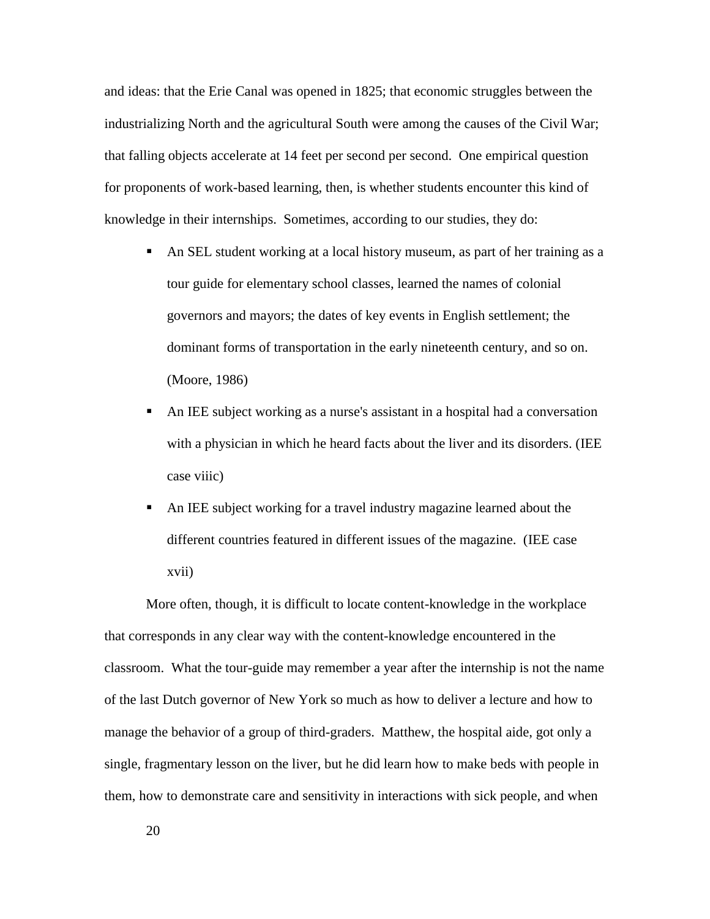and ideas: that the Erie Canal was opened in 1825; that economic struggles between the industrializing North and the agricultural South were among the causes of the Civil War; that falling objects accelerate at 14 feet per second per second. One empirical question for proponents of work-based learning, then, is whether students encounter this kind of knowledge in their internships. Sometimes, according to our studies, they do:

- An SEL student working at a local history museum, as part of her training as a tour guide for elementary school classes, learned the names of colonial governors and mayors; the dates of key events in English settlement; the dominant forms of transportation in the early nineteenth century, and so on. (Moore, 1986)
- An IEE subject working as a nurse's assistant in a hospital had a conversation with a physician in which he heard facts about the liver and its disorders. (IEE case viiic)
- An IEE subject working for a travel industry magazine learned about the different countries featured in different issues of the magazine. (IEE case xvii)

More often, though, it is difficult to locate content-knowledge in the workplace that corresponds in any clear way with the content-knowledge encountered in the classroom. What the tour-guide may remember a year after the internship is not the name of the last Dutch governor of New York so much as how to deliver a lecture and how to manage the behavior of a group of third-graders. Matthew, the hospital aide, got only a single, fragmentary lesson on the liver, but he did learn how to make beds with people in them, how to demonstrate care and sensitivity in interactions with sick people, and when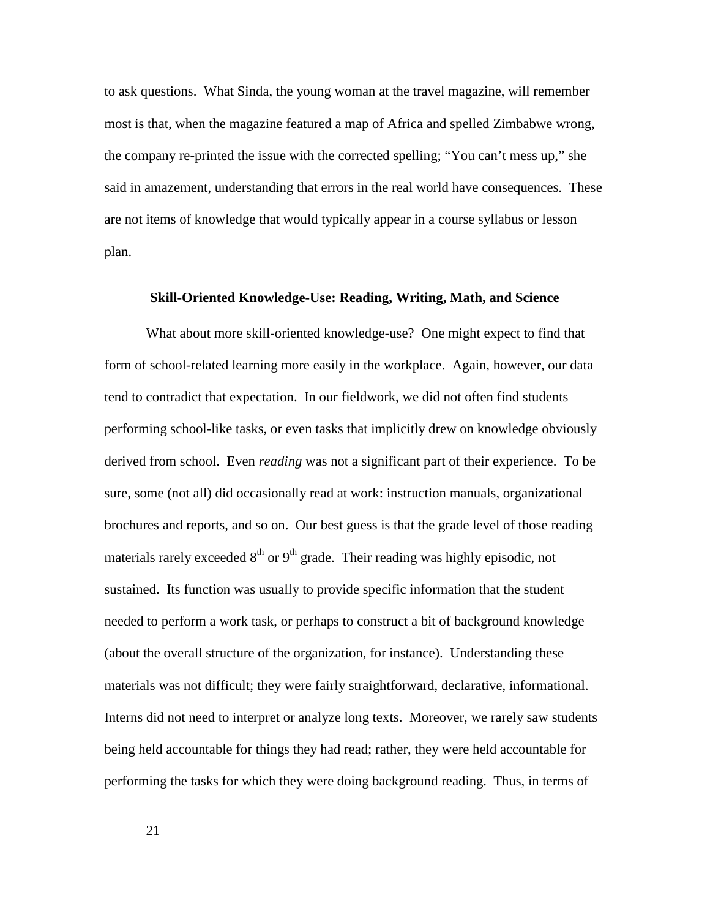to ask questions. What Sinda, the young woman at the travel magazine, will remember most is that, when the magazine featured a map of Africa and spelled Zimbabwe wrong, the company re-printed the issue with the corrected spelling; "You can't mess up," she said in amazement, understanding that errors in the real world have consequences. These are not items of knowledge that would typically appear in a course syllabus or lesson plan.

# **Skill-Oriented Knowledge-Use: Reading, Writing, Math, and Science**

What about more skill-oriented knowledge-use? One might expect to find that form of school-related learning more easily in the workplace. Again, however, our data tend to contradict that expectation. In our fieldwork, we did not often find students performing school-like tasks, or even tasks that implicitly drew on knowledge obviously derived from school. Even *reading* was not a significant part of their experience. To be sure, some (not all) did occasionally read at work: instruction manuals, organizational brochures and reports, and so on. Our best guess is that the grade level of those reading materials rarely exceeded  $8<sup>th</sup>$  or  $9<sup>th</sup>$  grade. Their reading was highly episodic, not sustained. Its function was usually to provide specific information that the student needed to perform a work task, or perhaps to construct a bit of background knowledge (about the overall structure of the organization, for instance). Understanding these materials was not difficult; they were fairly straightforward, declarative, informational. Interns did not need to interpret or analyze long texts. Moreover, we rarely saw students being held accountable for things they had read; rather, they were held accountable for performing the tasks for which they were doing background reading. Thus, in terms of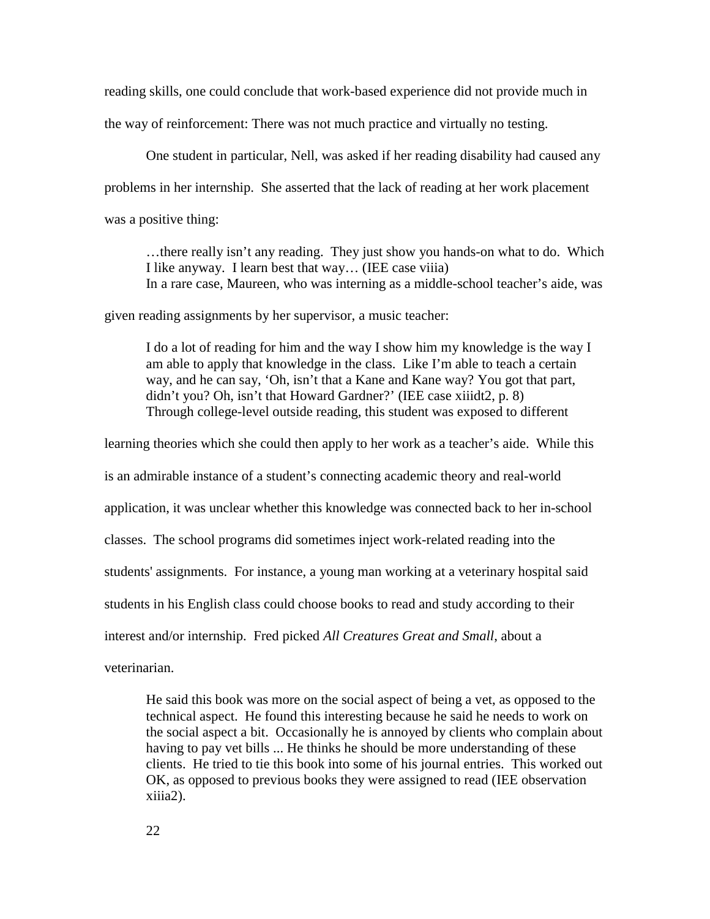reading skills, one could conclude that work-based experience did not provide much in the way of reinforcement: There was not much practice and virtually no testing.

One student in particular, Nell, was asked if her reading disability had caused any problems in her internship. She asserted that the lack of reading at her work placement was a positive thing:

…there really isn't any reading. They just show you hands-on what to do. Which I like anyway. I learn best that way… (IEE case viiia) In a rare case, Maureen, who was interning as a middle-school teacher's aide, was

given reading assignments by her supervisor, a music teacher:

I do a lot of reading for him and the way I show him my knowledge is the way I am able to apply that knowledge in the class. Like I'm able to teach a certain way, and he can say, 'Oh, isn't that a Kane and Kane way? You got that part, didn't you? Oh, isn't that Howard Gardner?' (IEE case xiiidt2, p. 8) Through college-level outside reading, this student was exposed to different

learning theories which she could then apply to her work as a teacher's aide. While this is an admirable instance of a student's connecting academic theory and real-world application, it was unclear whether this knowledge was connected back to her in-school classes. The school programs did sometimes inject work-related reading into the students' assignments. For instance, a young man working at a veterinary hospital said students in his English class could choose books to read and study according to their interest and/or internship. Fred picked *All Creatures Great and Small*, about a

veterinarian.

He said this book was more on the social aspect of being a vet, as opposed to the technical aspect. He found this interesting because he said he needs to work on the social aspect a bit. Occasionally he is annoyed by clients who complain about having to pay vet bills ... He thinks he should be more understanding of these clients. He tried to tie this book into some of his journal entries. This worked out OK, as opposed to previous books they were assigned to read (IEE observation xiiia2).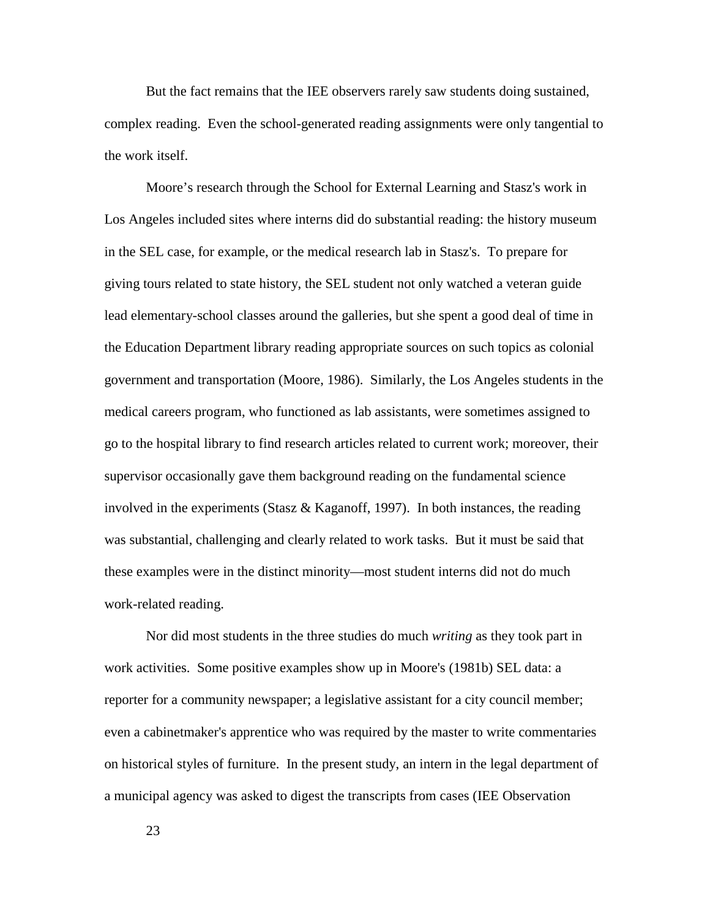But the fact remains that the IEE observers rarely saw students doing sustained, complex reading. Even the school-generated reading assignments were only tangential to the work itself.

Moore's research through the School for External Learning and Stasz's work in Los Angeles included sites where interns did do substantial reading: the history museum in the SEL case, for example, or the medical research lab in Stasz's. To prepare for giving tours related to state history, the SEL student not only watched a veteran guide lead elementary-school classes around the galleries, but she spent a good deal of time in the Education Department library reading appropriate sources on such topics as colonial government and transportation (Moore, 1986). Similarly, the Los Angeles students in the medical careers program, who functioned as lab assistants, were sometimes assigned to go to the hospital library to find research articles related to current work; moreover, their supervisor occasionally gave them background reading on the fundamental science involved in the experiments (Stasz  $\&$  Kaganoff, 1997). In both instances, the reading was substantial, challenging and clearly related to work tasks. But it must be said that these examples were in the distinct minority—most student interns did not do much work-related reading.

Nor did most students in the three studies do much *writing* as they took part in work activities. Some positive examples show up in Moore's (1981b) SEL data: a reporter for a community newspaper; a legislative assistant for a city council member; even a cabinetmaker's apprentice who was required by the master to write commentaries on historical styles of furniture. In the present study, an intern in the legal department of a municipal agency was asked to digest the transcripts from cases (IEE Observation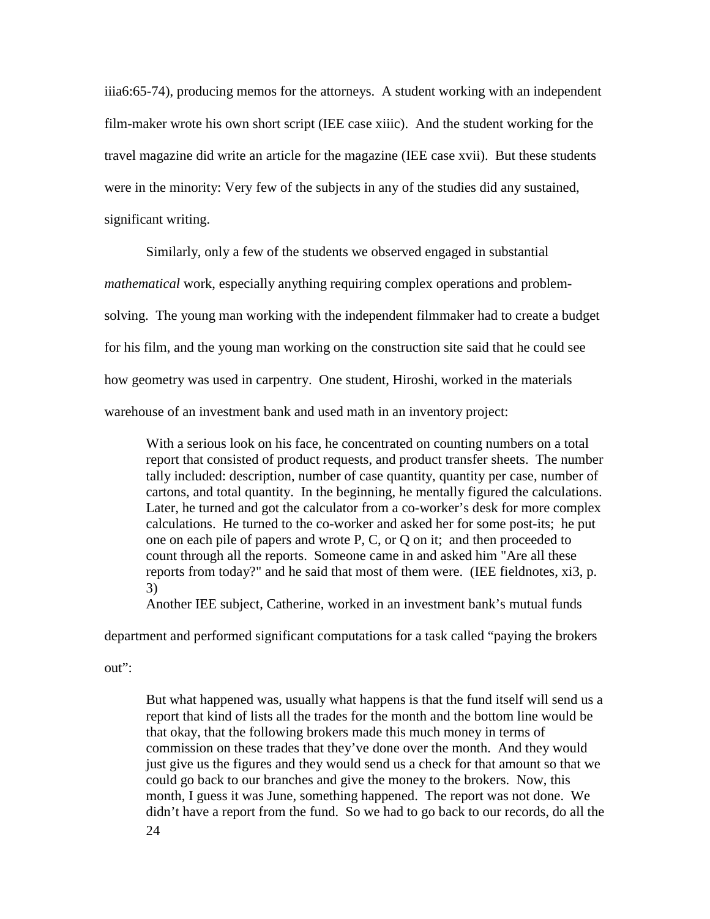iiia6:65-74), producing memos for the attorneys. A student working with an independent film-maker wrote his own short script (IEE case xiiic). And the student working for the travel magazine did write an article for the magazine (IEE case xvii). But these students were in the minority: Very few of the subjects in any of the studies did any sustained, significant writing.

Similarly, only a few of the students we observed engaged in substantial

*mathematical* work, especially anything requiring complex operations and problem-

solving. The young man working with the independent filmmaker had to create a budget

for his film, and the young man working on the construction site said that he could see

how geometry was used in carpentry. One student, Hiroshi, worked in the materials

warehouse of an investment bank and used math in an inventory project:

With a serious look on his face, he concentrated on counting numbers on a total report that consisted of product requests, and product transfer sheets. The number tally included: description, number of case quantity, quantity per case, number of cartons, and total quantity. In the beginning, he mentally figured the calculations. Later, he turned and got the calculator from a co-worker's desk for more complex calculations. He turned to the co-worker and asked her for some post-its; he put one on each pile of papers and wrote P, C, or Q on it; and then proceeded to count through all the reports. Someone came in and asked him "Are all these reports from today?" and he said that most of them were. (IEE fieldnotes, xi3, p. 3)

Another IEE subject, Catherine, worked in an investment bank's mutual funds

department and performed significant computations for a task called "paying the brokers

out":

24 But what happened was, usually what happens is that the fund itself will send us a report that kind of lists all the trades for the month and the bottom line would be that okay, that the following brokers made this much money in terms of commission on these trades that they've done over the month. And they would just give us the figures and they would send us a check for that amount so that we could go back to our branches and give the money to the brokers. Now, this month, I guess it was June, something happened. The report was not done. We didn't have a report from the fund. So we had to go back to our records, do all the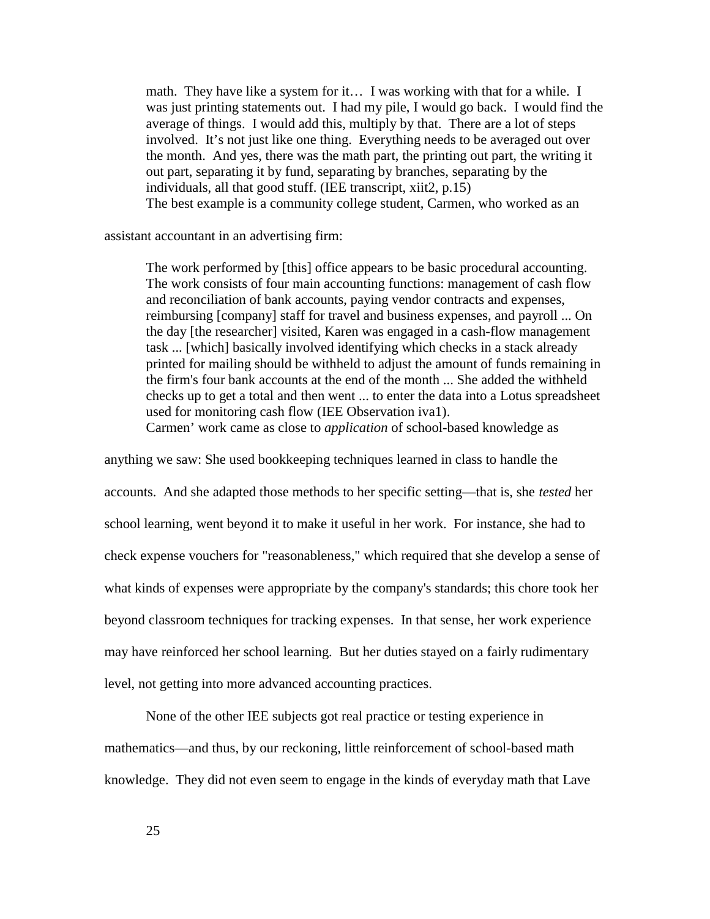math. They have like a system for it... I was working with that for a while. I was just printing statements out. I had my pile, I would go back. I would find the average of things. I would add this, multiply by that. There are a lot of steps involved. It's not just like one thing. Everything needs to be averaged out over the month. And yes, there was the math part, the printing out part, the writing it out part, separating it by fund, separating by branches, separating by the individuals, all that good stuff. (IEE transcript, xiit2, p.15) The best example is a community college student, Carmen, who worked as an

assistant accountant in an advertising firm:

The work performed by [this] office appears to be basic procedural accounting. The work consists of four main accounting functions: management of cash flow and reconciliation of bank accounts, paying vendor contracts and expenses, reimbursing [company] staff for travel and business expenses, and payroll ... On the day [the researcher] visited, Karen was engaged in a cash-flow management task ... [which] basically involved identifying which checks in a stack already printed for mailing should be withheld to adjust the amount of funds remaining in the firm's four bank accounts at the end of the month ... She added the withheld checks up to get a total and then went ... to enter the data into a Lotus spreadsheet used for monitoring cash flow (IEE Observation iva1). Carmen' work came as close to *application* of school-based knowledge as

anything we saw: She used bookkeeping techniques learned in class to handle the accounts. And she adapted those methods to her specific setting—that is, she *tested* her school learning, went beyond it to make it useful in her work. For instance, she had to check expense vouchers for "reasonableness," which required that she develop a sense of what kinds of expenses were appropriate by the company's standards; this chore took her beyond classroom techniques for tracking expenses. In that sense, her work experience may have reinforced her school learning. But her duties stayed on a fairly rudimentary level, not getting into more advanced accounting practices.

None of the other IEE subjects got real practice or testing experience in mathematics—and thus, by our reckoning, little reinforcement of school-based math knowledge. They did not even seem to engage in the kinds of everyday math that Lave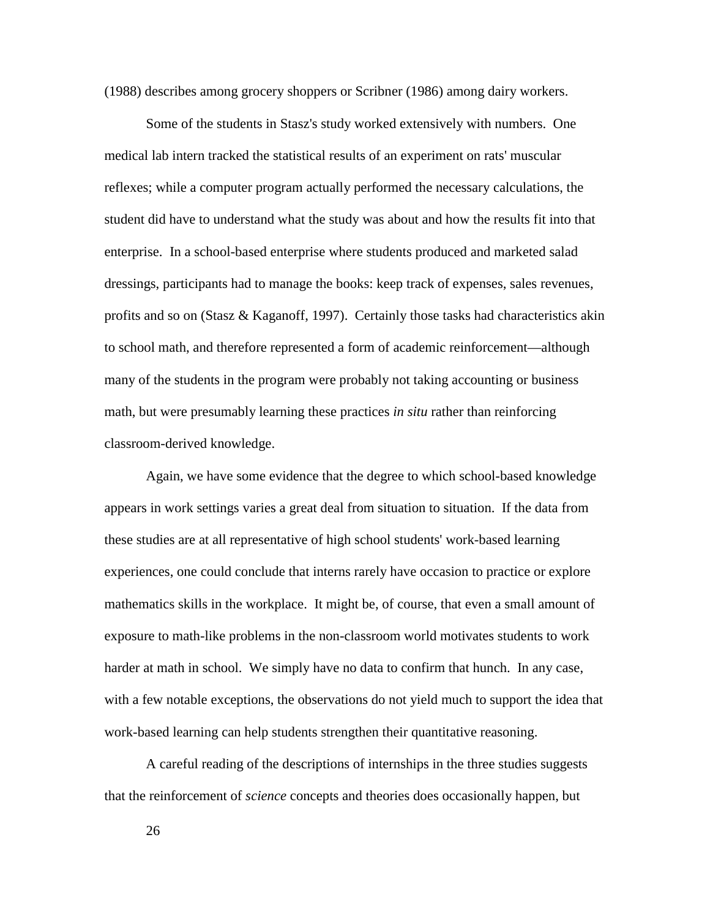(1988) describes among grocery shoppers or Scribner (1986) among dairy workers.

Some of the students in Stasz's study worked extensively with numbers. One medical lab intern tracked the statistical results of an experiment on rats' muscular reflexes; while a computer program actually performed the necessary calculations, the student did have to understand what the study was about and how the results fit into that enterprise. In a school-based enterprise where students produced and marketed salad dressings, participants had to manage the books: keep track of expenses, sales revenues, profits and so on (Stasz & Kaganoff, 1997). Certainly those tasks had characteristics akin to school math, and therefore represented a form of academic reinforcement—although many of the students in the program were probably not taking accounting or business math, but were presumably learning these practices *in situ* rather than reinforcing classroom-derived knowledge.

Again, we have some evidence that the degree to which school-based knowledge appears in work settings varies a great deal from situation to situation. If the data from these studies are at all representative of high school students' work-based learning experiences, one could conclude that interns rarely have occasion to practice or explore mathematics skills in the workplace. It might be, of course, that even a small amount of exposure to math-like problems in the non-classroom world motivates students to work harder at math in school. We simply have no data to confirm that hunch. In any case, with a few notable exceptions, the observations do not yield much to support the idea that work-based learning can help students strengthen their quantitative reasoning.

A careful reading of the descriptions of internships in the three studies suggests that the reinforcement of *science* concepts and theories does occasionally happen, but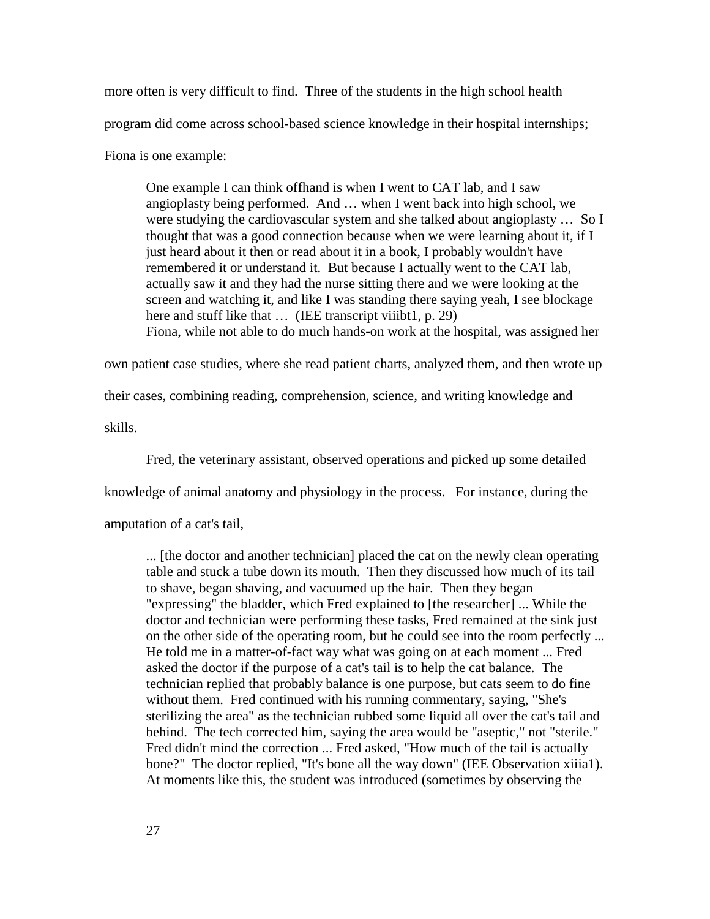more often is very difficult to find. Three of the students in the high school health

program did come across school-based science knowledge in their hospital internships;

Fiona is one example:

One example I can think offhand is when I went to CAT lab, and I saw angioplasty being performed. And … when I went back into high school, we were studying the cardiovascular system and she talked about angioplasty … So I thought that was a good connection because when we were learning about it, if I just heard about it then or read about it in a book, I probably wouldn't have remembered it or understand it. But because I actually went to the CAT lab, actually saw it and they had the nurse sitting there and we were looking at the screen and watching it, and like I was standing there saying yeah, I see blockage here and stuff like that ... (IEE transcript viiibt1, p. 29) Fiona, while not able to do much hands-on work at the hospital, was assigned her

own patient case studies, where she read patient charts, analyzed them, and then wrote up

their cases, combining reading, comprehension, science, and writing knowledge and

skills.

Fred, the veterinary assistant, observed operations and picked up some detailed

knowledge of animal anatomy and physiology in the process. For instance, during the

amputation of a cat's tail,

... [the doctor and another technician] placed the cat on the newly clean operating table and stuck a tube down its mouth. Then they discussed how much of its tail to shave, began shaving, and vacuumed up the hair. Then they began "expressing" the bladder, which Fred explained to [the researcher] ... While the doctor and technician were performing these tasks, Fred remained at the sink just on the other side of the operating room, but he could see into the room perfectly ... He told me in a matter-of-fact way what was going on at each moment ... Fred asked the doctor if the purpose of a cat's tail is to help the cat balance. The technician replied that probably balance is one purpose, but cats seem to do fine without them. Fred continued with his running commentary, saying, "She's sterilizing the area" as the technician rubbed some liquid all over the cat's tail and behind. The tech corrected him, saying the area would be "aseptic," not "sterile." Fred didn't mind the correction ... Fred asked, "How much of the tail is actually bone?" The doctor replied, "It's bone all the way down" (IEE Observation xiiia1). At moments like this, the student was introduced (sometimes by observing the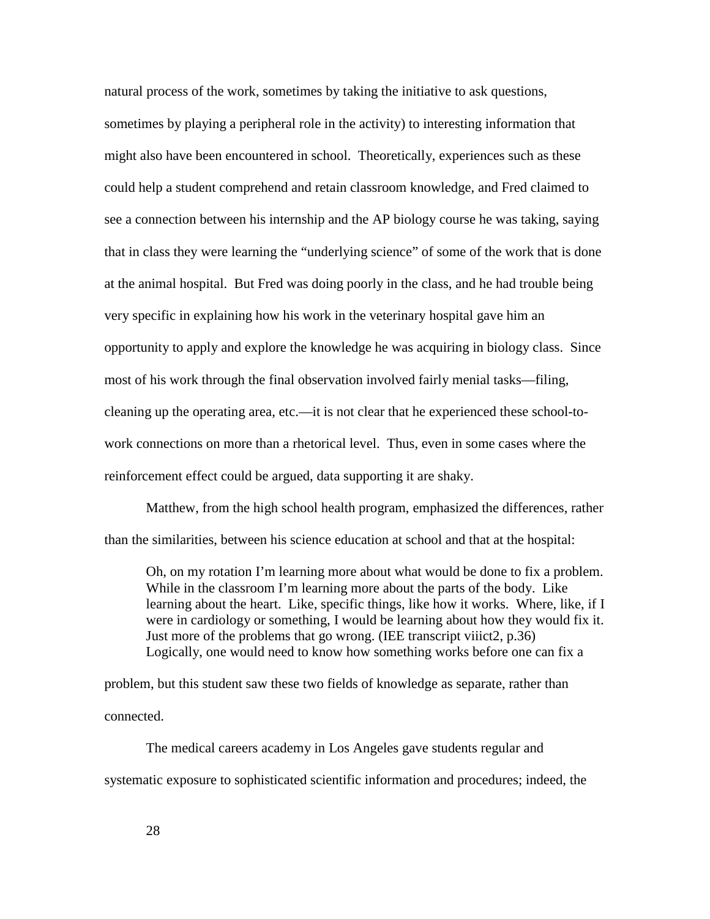natural process of the work, sometimes by taking the initiative to ask questions, sometimes by playing a peripheral role in the activity) to interesting information that might also have been encountered in school. Theoretically, experiences such as these could help a student comprehend and retain classroom knowledge, and Fred claimed to see a connection between his internship and the AP biology course he was taking, saying that in class they were learning the "underlying science" of some of the work that is done at the animal hospital. But Fred was doing poorly in the class, and he had trouble being very specific in explaining how his work in the veterinary hospital gave him an opportunity to apply and explore the knowledge he was acquiring in biology class. Since most of his work through the final observation involved fairly menial tasks—filing, cleaning up the operating area, etc.—it is not clear that he experienced these school-towork connections on more than a rhetorical level. Thus, even in some cases where the reinforcement effect could be argued, data supporting it are shaky.

Matthew, from the high school health program, emphasized the differences, rather than the similarities, between his science education at school and that at the hospital:

Oh, on my rotation I'm learning more about what would be done to fix a problem. While in the classroom I'm learning more about the parts of the body. Like learning about the heart. Like, specific things, like how it works. Where, like, if I were in cardiology or something, I would be learning about how they would fix it. Just more of the problems that go wrong. (IEE transcript viiict2, p.36) Logically, one would need to know how something works before one can fix a

problem, but this student saw these two fields of knowledge as separate, rather than connected.

The medical careers academy in Los Angeles gave students regular and systematic exposure to sophisticated scientific information and procedures; indeed, the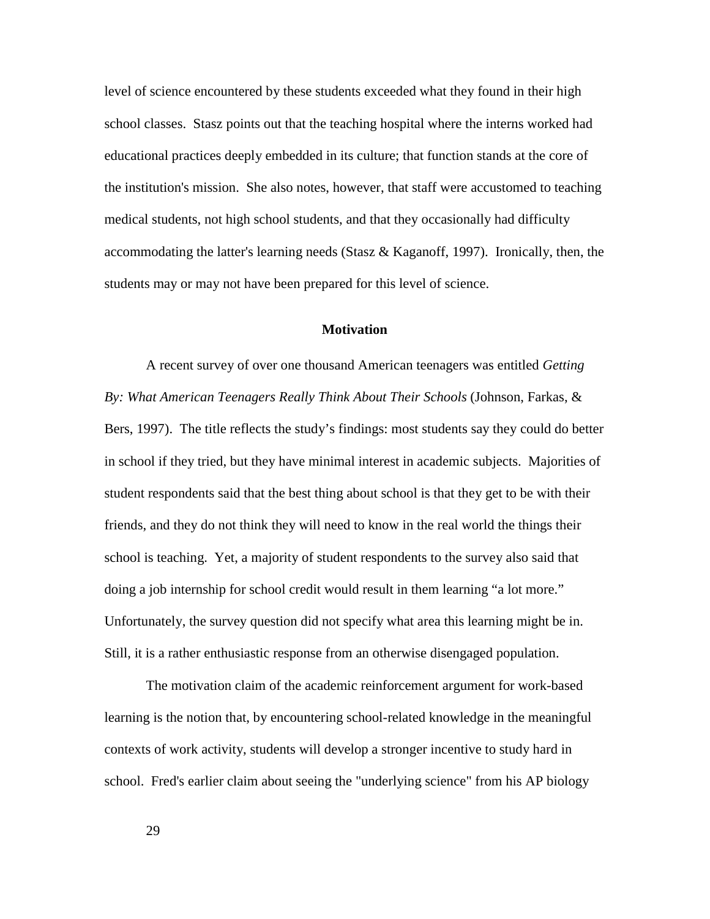level of science encountered by these students exceeded what they found in their high school classes. Stasz points out that the teaching hospital where the interns worked had educational practices deeply embedded in its culture; that function stands at the core of the institution's mission. She also notes, however, that staff were accustomed to teaching medical students, not high school students, and that they occasionally had difficulty accommodating the latter's learning needs (Stasz & Kaganoff, 1997). Ironically, then, the students may or may not have been prepared for this level of science.

# **Motivation**

A recent survey of over one thousand American teenagers was entitled *Getting By: What American Teenagers Really Think About Their Schools* (Johnson, Farkas, & Bers, 1997). The title reflects the study's findings: most students say they could do better in school if they tried, but they have minimal interest in academic subjects. Majorities of student respondents said that the best thing about school is that they get to be with their friends, and they do not think they will need to know in the real world the things their school is teaching. Yet, a majority of student respondents to the survey also said that doing a job internship for school credit would result in them learning "a lot more." Unfortunately, the survey question did not specify what area this learning might be in. Still, it is a rather enthusiastic response from an otherwise disengaged population.

The motivation claim of the academic reinforcement argument for work-based learning is the notion that, by encountering school-related knowledge in the meaningful contexts of work activity, students will develop a stronger incentive to study hard in school. Fred's earlier claim about seeing the "underlying science" from his AP biology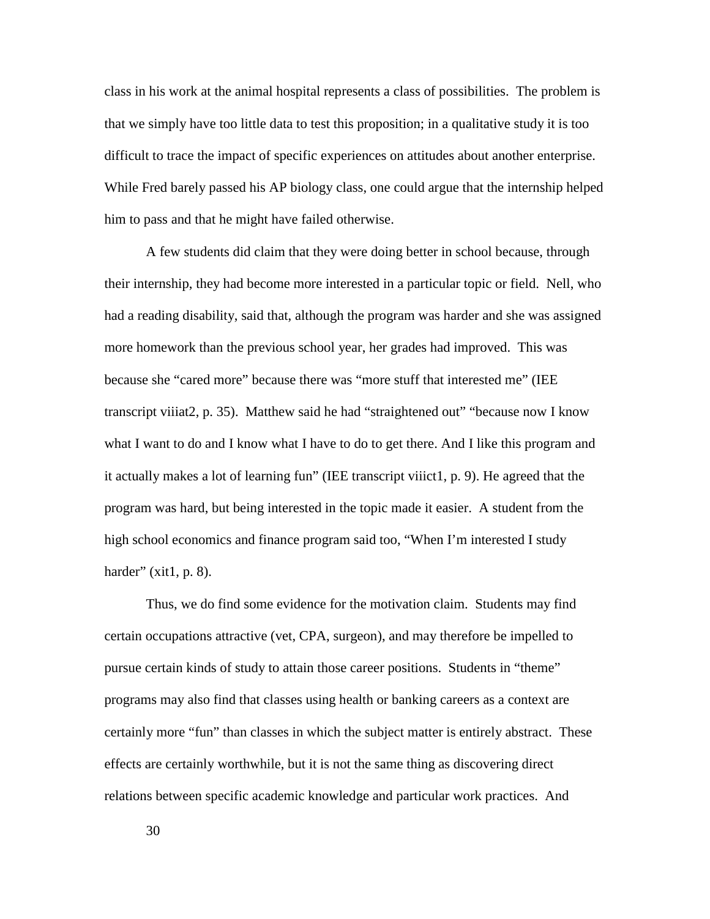class in his work at the animal hospital represents a class of possibilities. The problem is that we simply have too little data to test this proposition; in a qualitative study it is too difficult to trace the impact of specific experiences on attitudes about another enterprise. While Fred barely passed his AP biology class, one could argue that the internship helped him to pass and that he might have failed otherwise.

A few students did claim that they were doing better in school because, through their internship, they had become more interested in a particular topic or field. Nell, who had a reading disability, said that, although the program was harder and she was assigned more homework than the previous school year, her grades had improved. This was because she "cared more" because there was "more stuff that interested me" (IEE transcript viiiat2, p. 35). Matthew said he had "straightened out" "because now I know what I want to do and I know what I have to do to get there. And I like this program and it actually makes a lot of learning fun" (IEE transcript viiict1, p. 9). He agreed that the program was hard, but being interested in the topic made it easier. A student from the high school economics and finance program said too, "When I'm interested I study harder"  $(xit1, p. 8)$ .

Thus, we do find some evidence for the motivation claim. Students may find certain occupations attractive (vet, CPA, surgeon), and may therefore be impelled to pursue certain kinds of study to attain those career positions. Students in "theme" programs may also find that classes using health or banking careers as a context are certainly more "fun" than classes in which the subject matter is entirely abstract. These effects are certainly worthwhile, but it is not the same thing as discovering direct relations between specific academic knowledge and particular work practices. And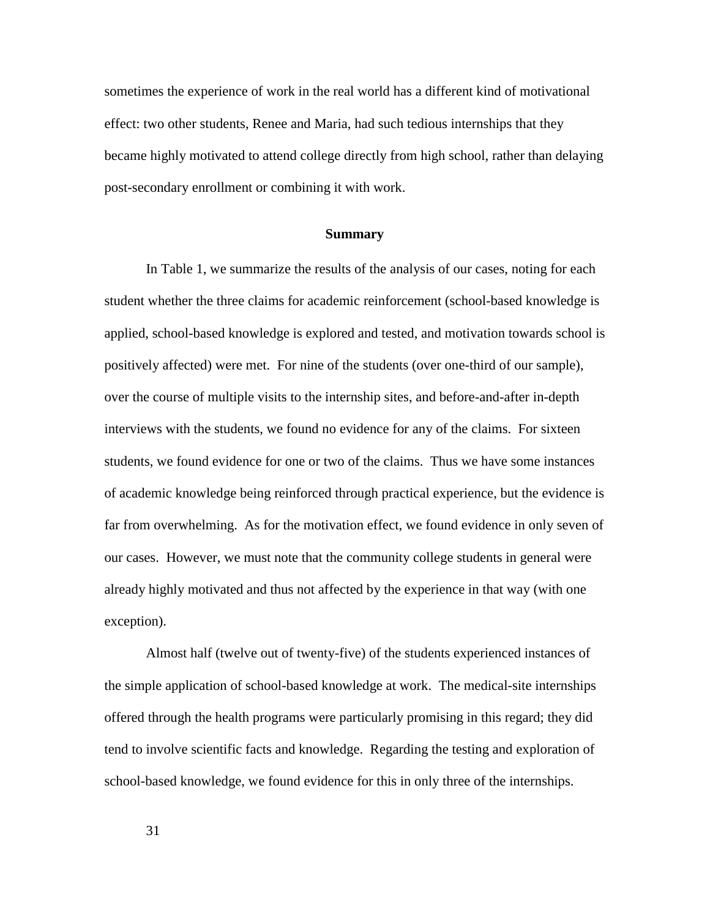sometimes the experience of work in the real world has a different kind of motivational effect: two other students, Renee and Maria, had such tedious internships that they became highly motivated to attend college directly from high school, rather than delaying post-secondary enrollment or combining it with work.

#### **Summary**

In Table 1, we summarize the results of the analysis of our cases, noting for each student whether the three claims for academic reinforcement (school-based knowledge is applied, school-based knowledge is explored and tested, and motivation towards school is positively affected) were met. For nine of the students (over one-third of our sample), over the course of multiple visits to the internship sites, and before-and-after in-depth interviews with the students, we found no evidence for any of the claims. For sixteen students, we found evidence for one or two of the claims. Thus we have some instances of academic knowledge being reinforced through practical experience, but the evidence is far from overwhelming. As for the motivation effect, we found evidence in only seven of our cases. However, we must note that the community college students in general were already highly motivated and thus not affected by the experience in that way (with one exception).

Almost half (twelve out of twenty-five) of the students experienced instances of the simple application of school-based knowledge at work. The medical-site internships offered through the health programs were particularly promising in this regard; they did tend to involve scientific facts and knowledge. Regarding the testing and exploration of school-based knowledge, we found evidence for this in only three of the internships.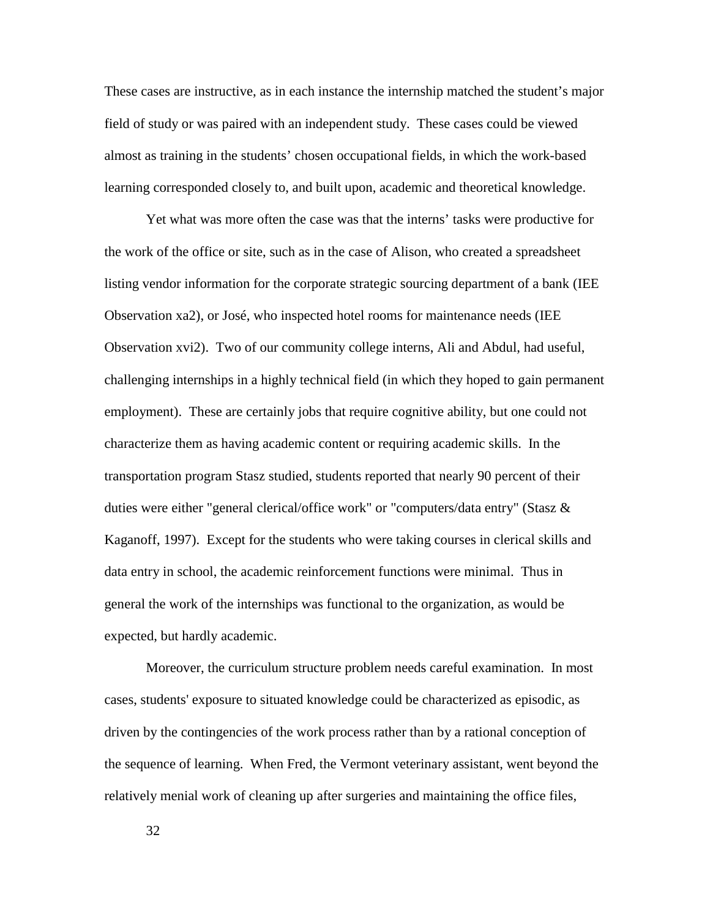These cases are instructive, as in each instance the internship matched the student's major field of study or was paired with an independent study. These cases could be viewed almost as training in the students' chosen occupational fields, in which the work-based learning corresponded closely to, and built upon, academic and theoretical knowledge.

Yet what was more often the case was that the interns' tasks were productive for the work of the office or site, such as in the case of Alison, who created a spreadsheet listing vendor information for the corporate strategic sourcing department of a bank (IEE Observation xa2), or José, who inspected hotel rooms for maintenance needs (IEE Observation xvi2). Two of our community college interns, Ali and Abdul, had useful, challenging internships in a highly technical field (in which they hoped to gain permanent employment). These are certainly jobs that require cognitive ability, but one could not characterize them as having academic content or requiring academic skills. In the transportation program Stasz studied, students reported that nearly 90 percent of their duties were either "general clerical/office work" or "computers/data entry" (Stasz & Kaganoff, 1997). Except for the students who were taking courses in clerical skills and data entry in school, the academic reinforcement functions were minimal. Thus in general the work of the internships was functional to the organization, as would be expected, but hardly academic.

Moreover, the curriculum structure problem needs careful examination. In most cases, students' exposure to situated knowledge could be characterized as episodic, as driven by the contingencies of the work process rather than by a rational conception of the sequence of learning. When Fred, the Vermont veterinary assistant, went beyond the relatively menial work of cleaning up after surgeries and maintaining the office files,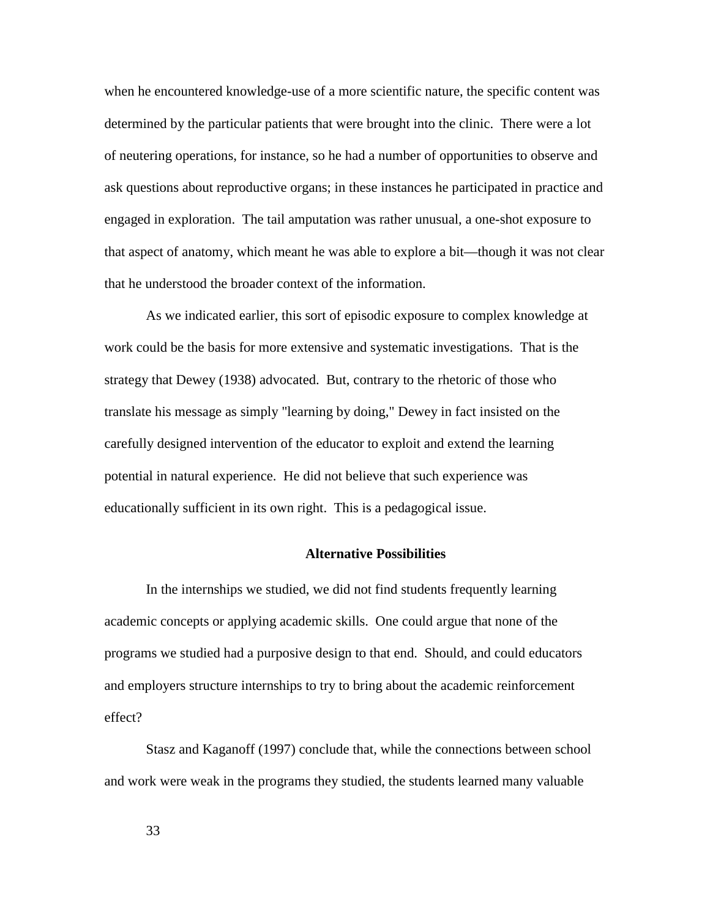when he encountered knowledge-use of a more scientific nature, the specific content was determined by the particular patients that were brought into the clinic. There were a lot of neutering operations, for instance, so he had a number of opportunities to observe and ask questions about reproductive organs; in these instances he participated in practice and engaged in exploration. The tail amputation was rather unusual, a one-shot exposure to that aspect of anatomy, which meant he was able to explore a bit—though it was not clear that he understood the broader context of the information.

As we indicated earlier, this sort of episodic exposure to complex knowledge at work could be the basis for more extensive and systematic investigations. That is the strategy that Dewey (1938) advocated. But, contrary to the rhetoric of those who translate his message as simply "learning by doing," Dewey in fact insisted on the carefully designed intervention of the educator to exploit and extend the learning potential in natural experience. He did not believe that such experience was educationally sufficient in its own right. This is a pedagogical issue.

# **Alternative Possibilities**

In the internships we studied, we did not find students frequently learning academic concepts or applying academic skills. One could argue that none of the programs we studied had a purposive design to that end. Should, and could educators and employers structure internships to try to bring about the academic reinforcement effect?

Stasz and Kaganoff (1997) conclude that, while the connections between school and work were weak in the programs they studied, the students learned many valuable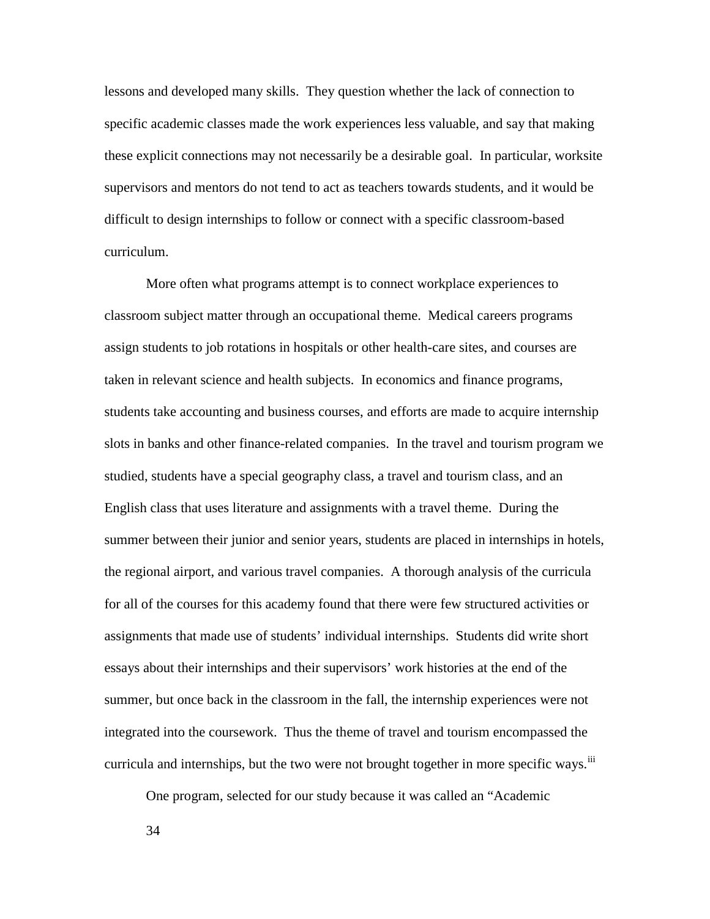lessons and developed many skills. They question whether the lack of connection to specific academic classes made the work experiences less valuable, and say that making these explicit connections may not necessarily be a desirable goal. In particular, worksite supervisors and mentors do not tend to act as teachers towards students, and it would be difficult to design internships to follow or connect with a specific classroom-based curriculum.

More often what programs attempt is to connect workplace experiences to classroom subject matter through an occupational theme. Medical careers programs assign students to job rotations in hospitals or other health-care sites, and courses are taken in relevant science and health subjects. In economics and finance programs, students take accounting and business courses, and efforts are made to acquire internship slots in banks and other finance-related companies. In the travel and tourism program we studied, students have a special geography class, a travel and tourism class, and an English class that uses literature and assignments with a travel theme. During the summer between their junior and senior years, students are placed in internships in hotels, the regional airport, and various travel companies. A thorough analysis of the curricula for all of the courses for this academy found that there were few structured activities or assignments that made use of students' individual internships. Students did write short essays about their internships and their supervisors' work histories at the end of the summer, but once back in the classroom in the fall, the internship experiences were not integrated into the coursework. Thus the theme of travel and tourism encompassed the curricula and internships, but the two were not brought together in more specific ways.<sup>iii</sup>

One program, selected for our study because it was called an "Academic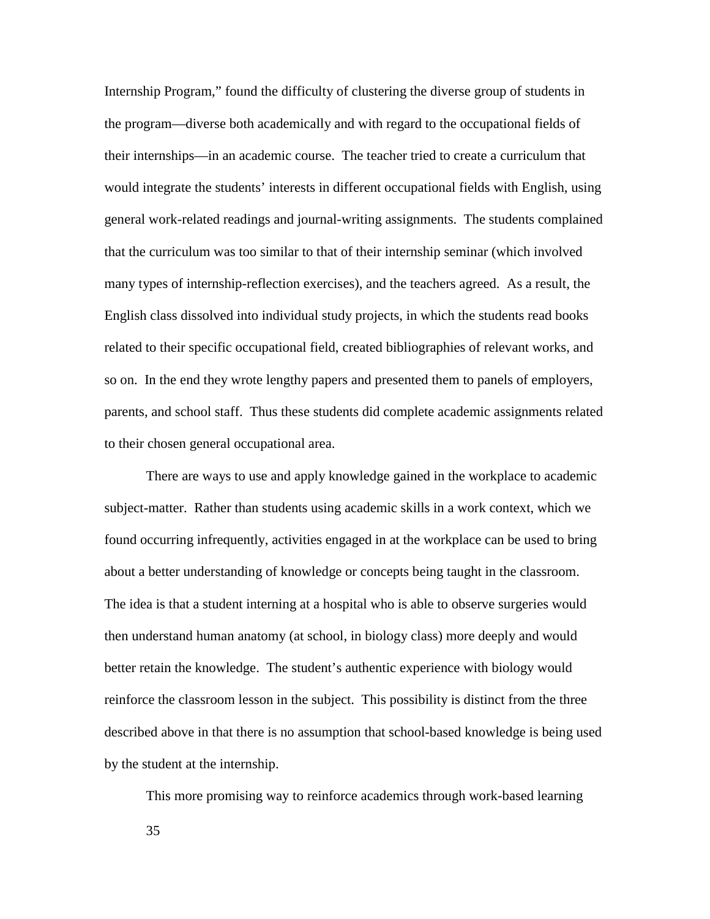Internship Program," found the difficulty of clustering the diverse group of students in the program—diverse both academically and with regard to the occupational fields of their internships—in an academic course. The teacher tried to create a curriculum that would integrate the students' interests in different occupational fields with English, using general work-related readings and journal-writing assignments. The students complained that the curriculum was too similar to that of their internship seminar (which involved many types of internship-reflection exercises), and the teachers agreed. As a result, the English class dissolved into individual study projects, in which the students read books related to their specific occupational field, created bibliographies of relevant works, and so on. In the end they wrote lengthy papers and presented them to panels of employers, parents, and school staff. Thus these students did complete academic assignments related to their chosen general occupational area.

There are ways to use and apply knowledge gained in the workplace to academic subject-matter. Rather than students using academic skills in a work context, which we found occurring infrequently, activities engaged in at the workplace can be used to bring about a better understanding of knowledge or concepts being taught in the classroom. The idea is that a student interning at a hospital who is able to observe surgeries would then understand human anatomy (at school, in biology class) more deeply and would better retain the knowledge. The student's authentic experience with biology would reinforce the classroom lesson in the subject. This possibility is distinct from the three described above in that there is no assumption that school-based knowledge is being used by the student at the internship.

35 This more promising way to reinforce academics through work-based learning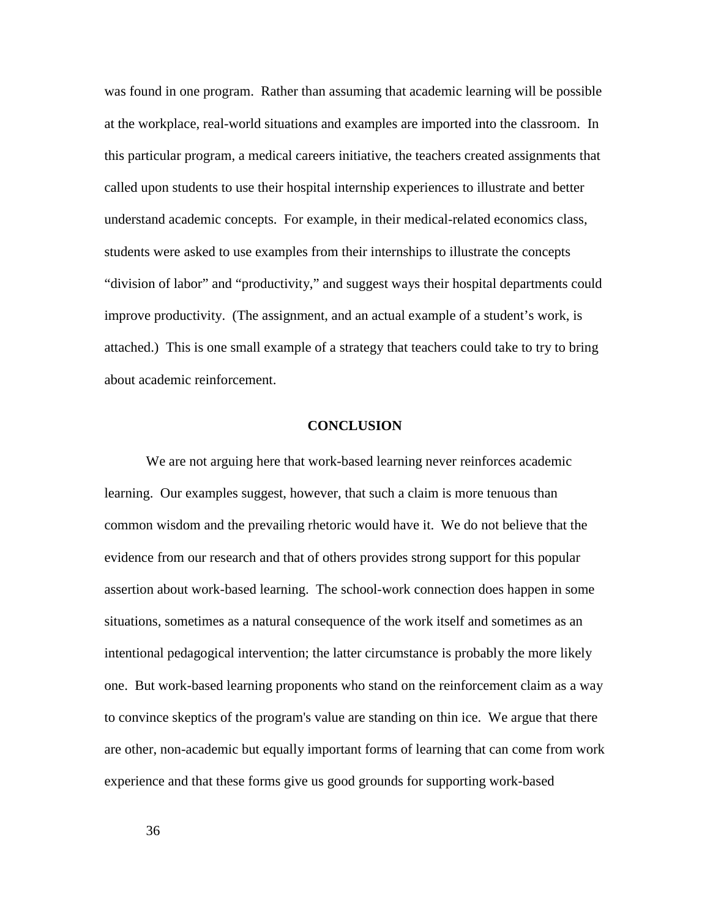was found in one program. Rather than assuming that academic learning will be possible at the workplace, real-world situations and examples are imported into the classroom. In this particular program, a medical careers initiative, the teachers created assignments that called upon students to use their hospital internship experiences to illustrate and better understand academic concepts. For example, in their medical-related economics class, students were asked to use examples from their internships to illustrate the concepts "division of labor" and "productivity," and suggest ways their hospital departments could improve productivity. (The assignment, and an actual example of a student's work, is attached.) This is one small example of a strategy that teachers could take to try to bring about academic reinforcement.

#### **CONCLUSION**

We are not arguing here that work-based learning never reinforces academic learning. Our examples suggest, however, that such a claim is more tenuous than common wisdom and the prevailing rhetoric would have it. We do not believe that the evidence from our research and that of others provides strong support for this popular assertion about work-based learning. The school-work connection does happen in some situations, sometimes as a natural consequence of the work itself and sometimes as an intentional pedagogical intervention; the latter circumstance is probably the more likely one. But work-based learning proponents who stand on the reinforcement claim as a way to convince skeptics of the program's value are standing on thin ice. We argue that there are other, non-academic but equally important forms of learning that can come from work experience and that these forms give us good grounds for supporting work-based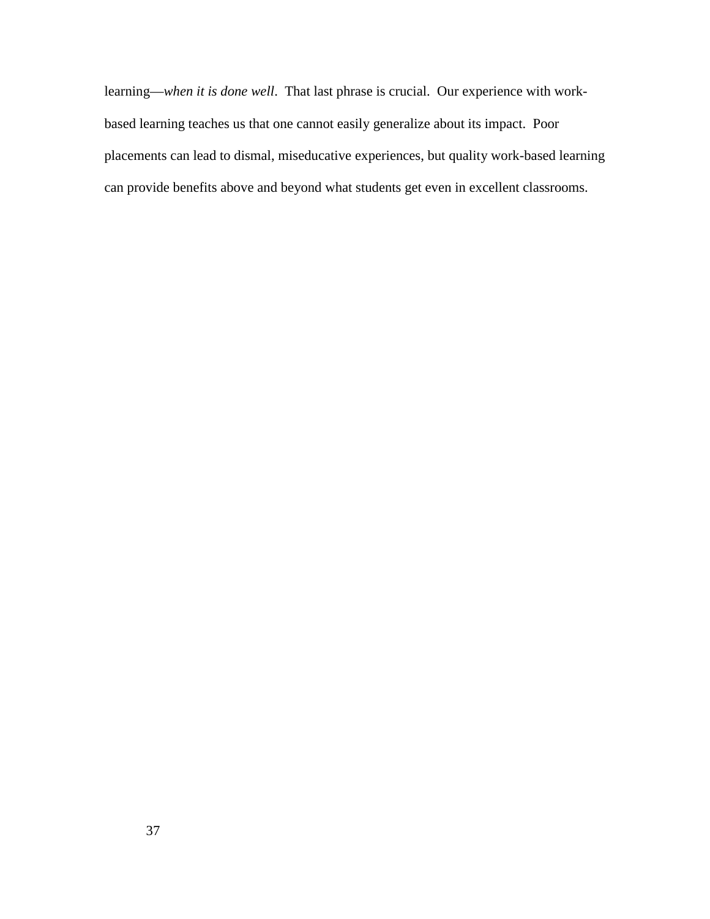learning—*when it is done well*. That last phrase is crucial. Our experience with workbased learning teaches us that one cannot easily generalize about its impact. Poor placements can lead to dismal, miseducative experiences, but quality work-based learning can provide benefits above and beyond what students get even in excellent classrooms.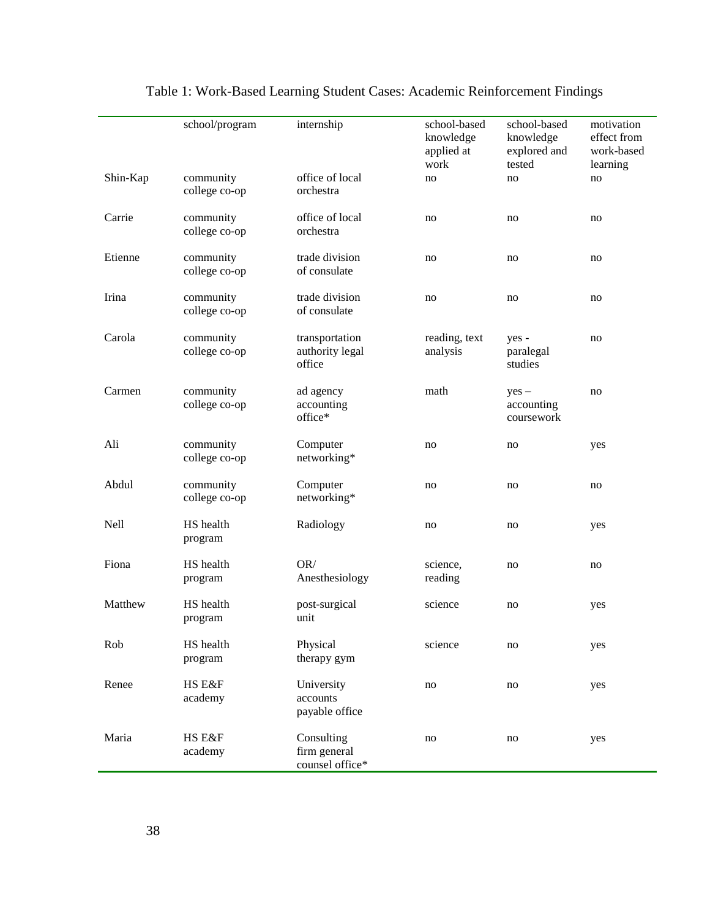|          | school/program             | internship                                    | school-based<br>knowledge<br>applied at<br>work | school-based<br>knowledge<br>explored and<br>tested | motivation<br>effect from<br>work-based<br>learning |
|----------|----------------------------|-----------------------------------------------|-------------------------------------------------|-----------------------------------------------------|-----------------------------------------------------|
| Shin-Kap | community<br>college co-op | office of local<br>orchestra                  | no                                              | no                                                  | no                                                  |
| Carrie   | community<br>college co-op | office of local<br>orchestra                  | no                                              | no                                                  | no                                                  |
| Etienne  | community<br>college co-op | trade division<br>of consulate                | no                                              | no                                                  | no                                                  |
| Irina    | community<br>college co-op | trade division<br>of consulate                | no                                              | no                                                  | no                                                  |
| Carola   | community<br>college co-op | transportation<br>authority legal<br>office   | reading, text<br>analysis                       | yes -<br>paralegal<br>studies                       | no                                                  |
| Carmen   | community<br>college co-op | ad agency<br>accounting<br>office*            | math                                            | $yes -$<br>accounting<br>coursework                 | no                                                  |
| Ali      | community<br>college co-op | Computer<br>networking*                       | no                                              | no                                                  | yes                                                 |
| Abdul    | community<br>college co-op | Computer<br>networking*                       | no                                              | no                                                  | no                                                  |
| Nell     | HS health<br>program       | Radiology                                     | no                                              | no                                                  | yes                                                 |
| Fiona    | HS health<br>program       | OR/<br>Anesthesiology                         | science,<br>reading                             | no                                                  | no                                                  |
| Matthew  | HS health<br>program       | post-surgical<br>unit                         | science                                         | no                                                  | yes                                                 |
| Rob      | HS health<br>program       | Physical<br>therapy gym                       | science                                         | no                                                  | yes                                                 |
| Renee    | HS E&F<br>academy          | University<br>accounts<br>payable office      | no                                              | no                                                  | yes                                                 |
| Maria    | HS E&F<br>academy          | Consulting<br>firm general<br>counsel office* | no                                              | no                                                  | yes                                                 |

# Table 1: Work-Based Learning Student Cases: Academic Reinforcement Findings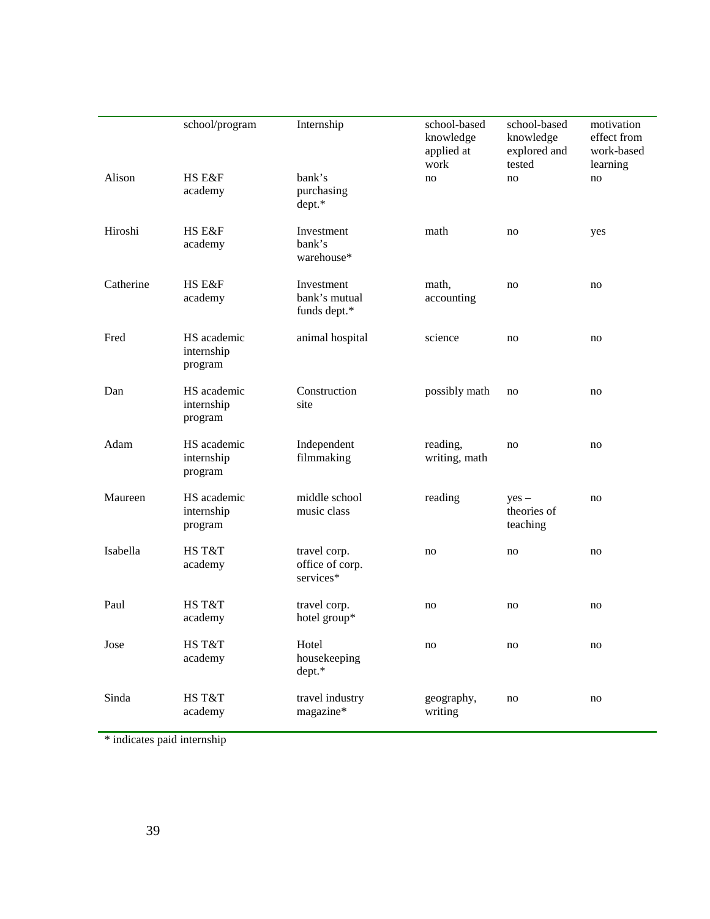|           | school/program                       | Internship                                   | school-based<br>knowledge<br>applied at<br>work | school-based<br>knowledge<br>explored and<br>tested | motivation<br>effect from<br>work-based<br>learning |
|-----------|--------------------------------------|----------------------------------------------|-------------------------------------------------|-----------------------------------------------------|-----------------------------------------------------|
| Alison    | HS E&F<br>academy                    | bank's<br>purchasing<br>dept.*               | no                                              | no                                                  | no                                                  |
| Hiroshi   | HS E&F<br>academy                    | Investment<br>bank's<br>warehouse*           | math                                            | no                                                  | yes                                                 |
| Catherine | HS E&F<br>academy                    | Investment<br>bank's mutual<br>funds dept.*  | math,<br>accounting                             | no                                                  | no                                                  |
| Fred      | HS academic<br>internship<br>program | animal hospital                              | science                                         | no                                                  | no                                                  |
| Dan       | HS academic<br>internship<br>program | Construction<br>site                         | possibly math                                   | no                                                  | no                                                  |
| Adam      | HS academic<br>internship<br>program | Independent<br>filmmaking                    | reading,<br>writing, math                       | no                                                  | no                                                  |
| Maureen   | HS academic<br>internship<br>program | middle school<br>music class                 | reading                                         | $yes -$<br>theories of<br>teaching                  | no                                                  |
| Isabella  | HS T&T<br>academy                    | travel corp.<br>office of corp.<br>services* | no                                              | no                                                  | no                                                  |
| Paul      | HS T&T<br>academy                    | travel corp.<br>hotel group*                 | no                                              | no                                                  | no                                                  |
| Jose      | HS T&T<br>academy                    | Hotel<br>housekeeping<br>dept.*              | no                                              | no                                                  | no                                                  |
| Sinda     | HS T&T<br>academy                    | travel industry<br>magazine*                 | geography,<br>writing                           | $\rm no$                                            | no                                                  |

\* indicates paid internship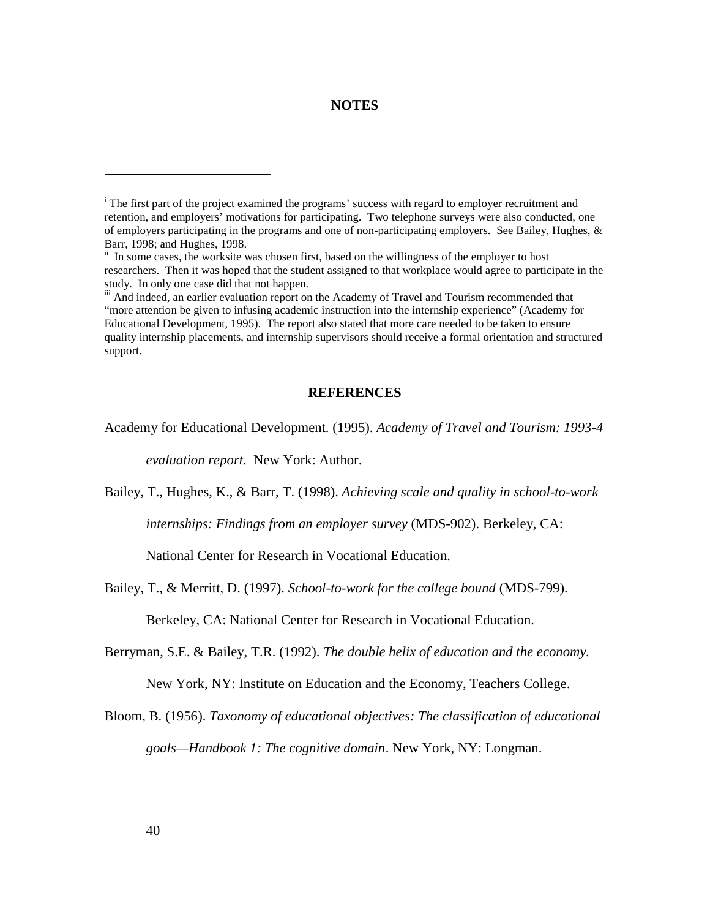# **NOTES**

## **REFERENCES**

Academy for Educational Development. (1995). *Academy of Travel and Tourism: 1993-4*

*evaluation report*. New York: Author.

Bailey, T., Hughes, K., & Barr, T. (1998). *Achieving scale and quality in school-to-work*

*internships: Findings from an employer survey* (MDS-902). Berkeley, CA:

National Center for Research in Vocational Education.

Bailey, T., & Merritt, D. (1997). *School-to-work for the college bound* (MDS-799).

Berkeley, CA: National Center for Research in Vocational Education.

Berryman, S.E. & Bailey, T.R. (1992). *The double helix of education and the economy.* New York, NY: Institute on Education and the Economy, Teachers College.

Bloom, B. (1956). *Taxonomy of educational objectives: The classification of educational goals—Handbook 1: The cognitive domain*. New York, NY: Longman.

<sup>&</sup>lt;sup>i</sup> The first part of the project examined the programs' success with regard to employer recruitment and retention, and employers' motivations for participating. Two telephone surveys were also conducted, one of employers participating in the programs and one of non-participating employers. See Bailey, Hughes, & Barr, 1998; and Hughes, 1998.

<sup>&</sup>lt;sup>ii</sup> In some cases, the worksite was chosen first, based on the willingness of the employer to host researchers. Then it was hoped that the student assigned to that workplace would agree to participate in the study. In only one case did that not happen.

iii And indeed, an earlier evaluation report on the Academy of Travel and Tourism recommended that "more attention be given to infusing academic instruction into the internship experience" (Academy for Educational Development, 1995). The report also stated that more care needed to be taken to ensure quality internship placements, and internship supervisors should receive a formal orientation and structured support.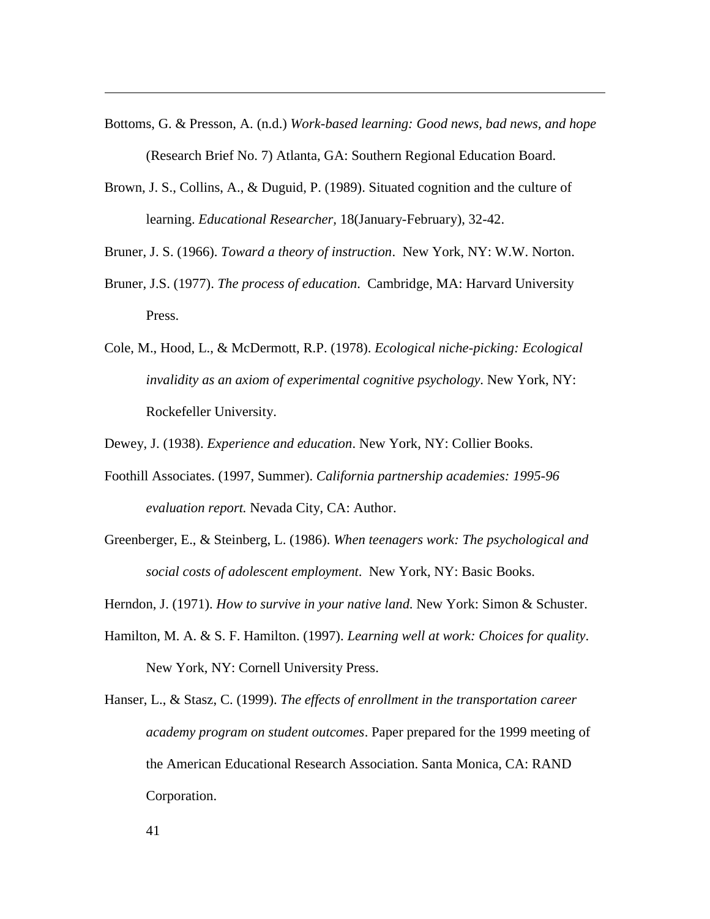- Bottoms, G. & Presson, A. (n.d.) *Work-based learning: Good news, bad news, and hope* (Research Brief No. 7) Atlanta, GA: Southern Regional Education Board.
- Brown, J. S., Collins, A., & Duguid, P. (1989). Situated cognition and the culture of learning. *Educational Researcher,* 18(January-February), 32-42.
- Bruner, J. S. (1966). *Toward a theory of instruction*. New York, NY: W.W. Norton.
- Bruner, J.S. (1977). *The process of education*. Cambridge, MA: Harvard University Press.
- Cole, M., Hood, L., & McDermott, R.P. (1978). *Ecological niche-picking: Ecological invalidity as an axiom of experimental cognitive psychology*. New York, NY: Rockefeller University.

Dewey, J. (1938). *Experience and education*. New York, NY: Collier Books.

- Foothill Associates. (1997, Summer). *California partnership academies: 1995-96 evaluation report.* Nevada City, CA: Author.
- Greenberger, E., & Steinberg, L. (1986). *When teenagers work: The psychological and social costs of adolescent employment*. New York, NY: Basic Books.

Herndon, J. (1971). *How to survive in your native land*. New York: Simon & Schuster.

- Hamilton, M. A. & S. F. Hamilton. (1997). *Learning well at work: Choices for quality*. New York, NY: Cornell University Press.
- Hanser, L., & Stasz, C. (1999). *The effects of enrollment in the transportation career academy program on student outcomes*. Paper prepared for the 1999 meeting of the American Educational Research Association. Santa Monica, CA: RAND Corporation.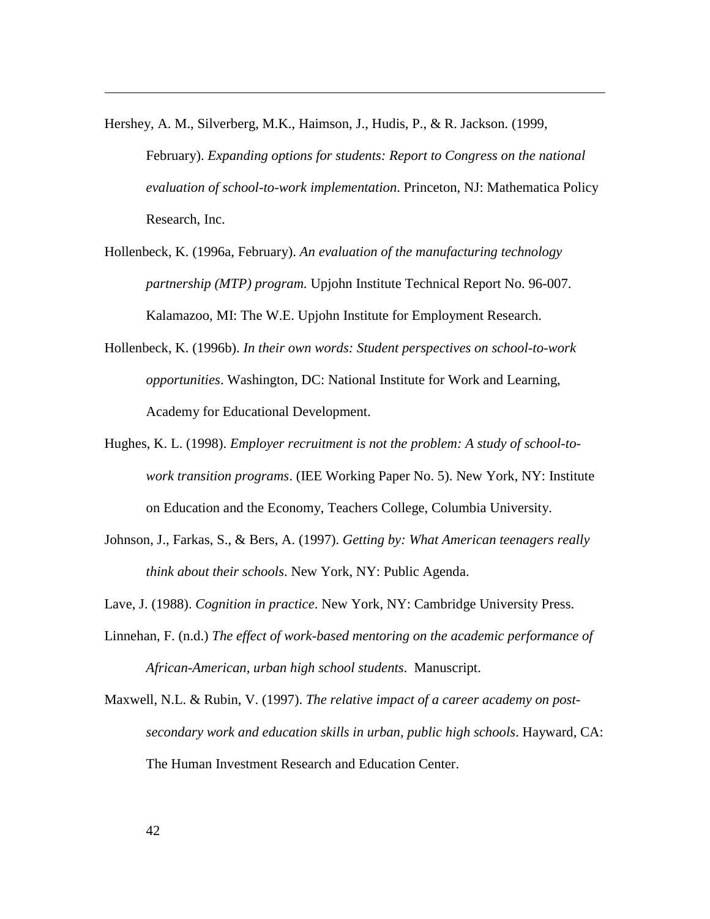Hershey, A. M., Silverberg, M.K., Haimson, J., Hudis, P., & R. Jackson. (1999, February). *Expanding options for students: Report to Congress on the national evaluation of school-to-work implementation*. Princeton, NJ: Mathematica Policy Research, Inc.

- Hollenbeck, K. (1996a, February). *An evaluation of the manufacturing technology partnership (MTP) program*. Upjohn Institute Technical Report No. 96-007. Kalamazoo, MI: The W.E. Upjohn Institute for Employment Research.
- Hollenbeck, K. (1996b). *In their own words: Student perspectives on school-to-work opportunities*. Washington, DC: National Institute for Work and Learning, Academy for Educational Development.
- Hughes, K. L. (1998). *Employer recruitment is not the problem: A study of school-towork transition programs*. (IEE Working Paper No. 5). New York, NY: Institute on Education and the Economy, Teachers College, Columbia University.
- Johnson, J., Farkas, S., & Bers, A. (1997). *Getting by: What American teenagers really think about their schools*. New York, NY: Public Agenda.
- Lave, J. (1988). *Cognition in practice*. New York, NY: Cambridge University Press.
- Linnehan, F. (n.d.) *The effect of work-based mentoring on the academic performance of African-American, urban high school students*. Manuscript.
- Maxwell, N.L. & Rubin, V. (1997). *The relative impact of a career academy on postsecondary work and education skills in urban, public high schools*. Hayward, CA: The Human Investment Research and Education Center.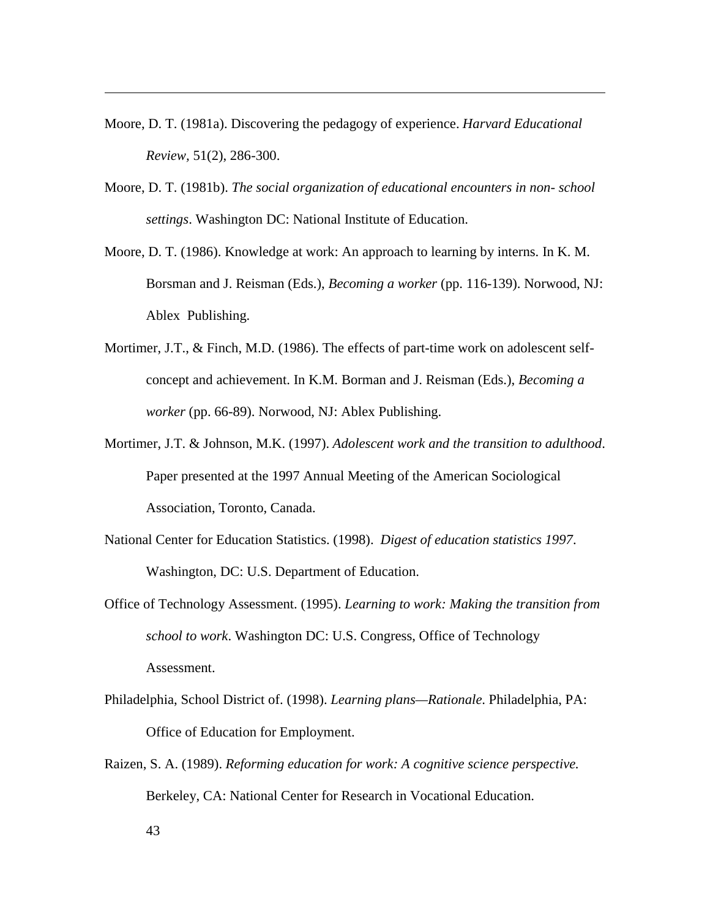- Moore, D. T. (1981a). Discovering the pedagogy of experience. *Harvard Educational Review,* 51(2), 286-300.
- Moore, D. T. (1981b). *The social organization of educational encounters in non- school settings*. Washington DC: National Institute of Education.
- Moore, D. T. (1986). Knowledge at work: An approach to learning by interns. In K. M. Borsman and J. Reisman (Eds.), *Becoming a worker* (pp. 116-139). Norwood, NJ: Ablex Publishing.
- Mortimer, J.T., & Finch, M.D. (1986). The effects of part-time work on adolescent selfconcept and achievement. In K.M. Borman and J. Reisman (Eds.), *Becoming a worker* (pp. 66-89). Norwood, NJ: Ablex Publishing.
- Mortimer, J.T. & Johnson, M.K. (1997). *Adolescent work and the transition to adulthood*. Paper presented at the 1997 Annual Meeting of the American Sociological Association, Toronto, Canada.
- National Center for Education Statistics. (1998). *Digest of education statistics 1997*. Washington, DC: U.S. Department of Education.
- Office of Technology Assessment. (1995). *Learning to work: Making the transition from school to work*. Washington DC: U.S. Congress, Office of Technology Assessment.
- Philadelphia, School District of. (1998). *Learning plans—Rationale*. Philadelphia, PA: Office of Education for Employment.
- Raizen, S. A. (1989). *Reforming education for work: A cognitive science perspective.* Berkeley, CA: National Center for Research in Vocational Education.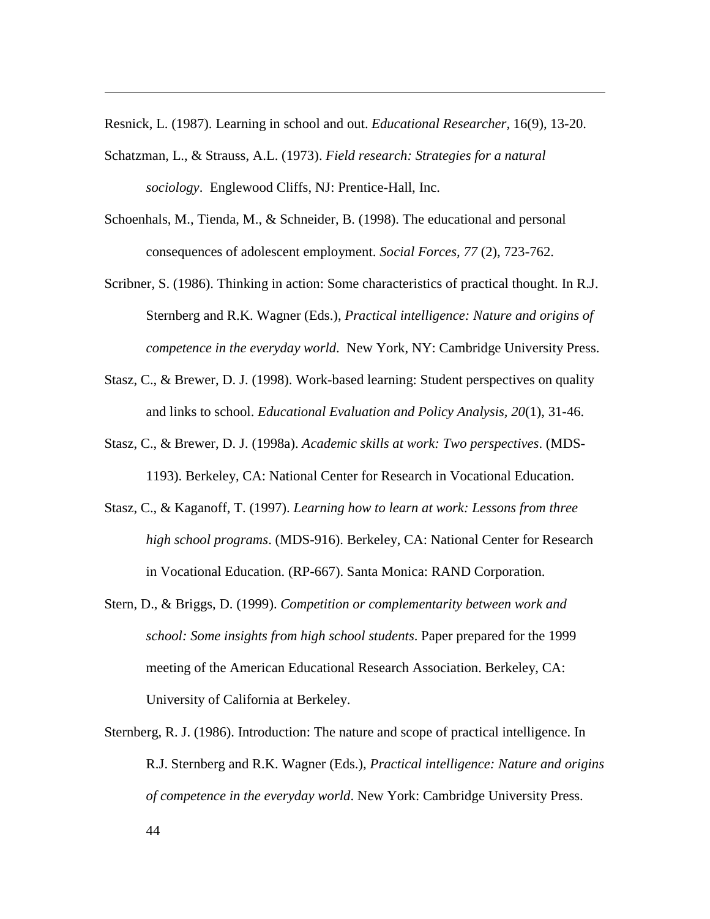Resnick, L. (1987). Learning in school and out. *Educational Researcher,* 16(9), 13-20.

- Schatzman, L., & Strauss, A.L. (1973). *Field research: Strategies for a natural sociology*. Englewood Cliffs, NJ: Prentice-Hall, Inc.
- Schoenhals, M., Tienda, M., & Schneider, B. (1998). The educational and personal consequences of adolescent employment. *Social Forces, 77* (2), 723-762.
- Scribner, S. (1986). Thinking in action: Some characteristics of practical thought. In R.J. Sternberg and R.K. Wagner (Eds.), *Practical intelligence: Nature and origins of competence in the everyday world*. New York, NY: Cambridge University Press.
- Stasz, C., & Brewer, D. J. (1998). Work-based learning: Student perspectives on quality and links to school. *Educational Evaluation and Policy Analysis, 20*(1), 31-46.
- Stasz, C., & Brewer, D. J. (1998a). *Academic skills at work: Two perspectives*. (MDS-1193). Berkeley, CA: National Center for Research in Vocational Education.
- Stasz, C., & Kaganoff, T. (1997). *Learning how to learn at work: Lessons from three high school programs*. (MDS-916). Berkeley, CA: National Center for Research in Vocational Education. (RP-667). Santa Monica: RAND Corporation.
- Stern, D., & Briggs, D. (1999). *Competition or complementarity between work and school: Some insights from high school students*. Paper prepared for the 1999 meeting of the American Educational Research Association. Berkeley, CA: University of California at Berkeley.
- Sternberg, R. J. (1986). Introduction: The nature and scope of practical intelligence. In R.J. Sternberg and R.K. Wagner (Eds.), *Practical intelligence: Nature and origins of competence in the everyday world*. New York: Cambridge University Press.